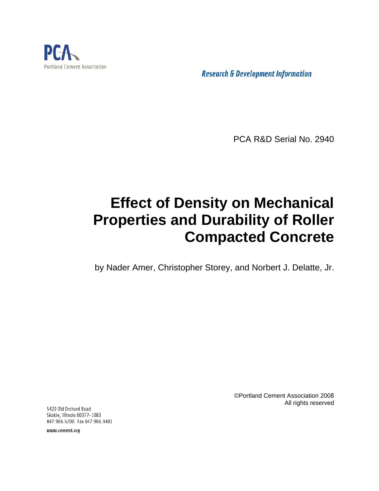

**Research & Development Information** 

PCA R&D Serial No. 2940

# **Effect of Density on Mechanical Properties and Durability of Roller Compacted Concrete**

by Nader Amer, Christopher Storey, and Norbert J. Delatte, Jr.

©Portland Cement Association 2008 All rights reserved

5420 Old Orchard Road Skokie, Illinois 60077-1083 847.966.6200 Fax 847.966.9481

www.cement.org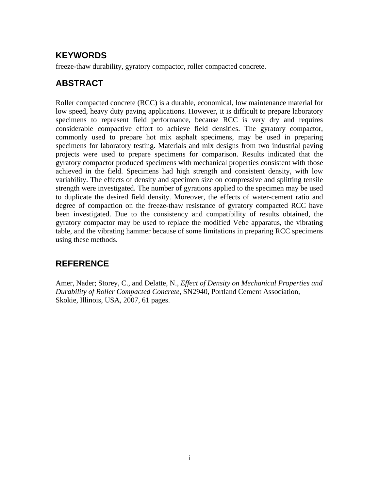# **KEYWORDS**

freeze-thaw durability, gyratory compactor, roller compacted concrete.

# **ABSTRACT**

Roller compacted concrete (RCC) is a durable, economical, low maintenance material for low speed, heavy duty paving applications. However, it is difficult to prepare laboratory specimens to represent field performance, because RCC is very dry and requires considerable compactive effort to achieve field densities. The gyratory compactor, commonly used to prepare hot mix asphalt specimens, may be used in preparing specimens for laboratory testing. Materials and mix designs from two industrial paving projects were used to prepare specimens for comparison. Results indicated that the gyratory compactor produced specimens with mechanical properties consistent with those achieved in the field. Specimens had high strength and consistent density, with low variability. The effects of density and specimen size on compressive and splitting tensile strength were investigated. The number of gyrations applied to the specimen may be used to duplicate the desired field density. Moreover, the effects of water-cement ratio and degree of compaction on the freeze-thaw resistance of gyratory compacted RCC have been investigated. Due to the consistency and compatibility of results obtained, the gyratory compactor may be used to replace the modified Vebe apparatus, the vibrating table, and the vibrating hammer because of some limitations in preparing RCC specimens using these methods.

# **REFERENCE**

Amer, Nader; Storey, C., and Delatte, N., *Effect of Density on Mechanical Properties and Durability of Roller Compacted Concrete,* SN2940, Portland Cement Association, Skokie, Illinois, USA, 2007, 61 pages.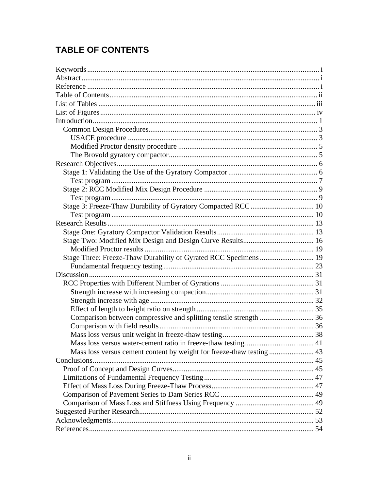# **TABLE OF CONTENTS**

| Stage Three: Freeze-Thaw Durability of Gyrated RCC Specimens  19      |    |
|-----------------------------------------------------------------------|----|
|                                                                       |    |
|                                                                       |    |
|                                                                       |    |
|                                                                       |    |
|                                                                       |    |
|                                                                       |    |
| Comparison between compressive and splitting tensile strength  36     |    |
|                                                                       |    |
|                                                                       |    |
| Mass loss versus water-cement ratio in freeze-thaw testing.           | 41 |
| Mass loss versus cement content by weight for freeze-thaw testing  43 |    |
|                                                                       |    |
|                                                                       |    |
|                                                                       |    |
|                                                                       |    |
|                                                                       |    |
|                                                                       |    |
|                                                                       |    |
|                                                                       |    |
|                                                                       |    |
|                                                                       |    |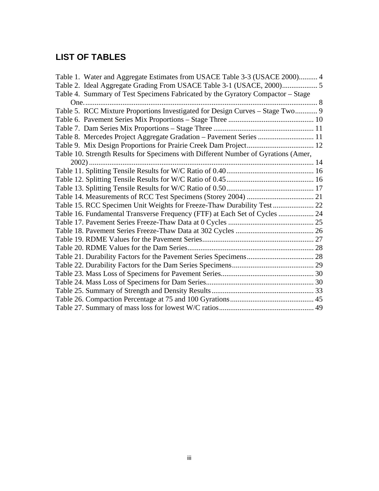# **LIST OF TABLES**

| Table 1. Water and Aggregate Estimates from USACE Table 3-3 (USACE 2000) 4         |  |
|------------------------------------------------------------------------------------|--|
|                                                                                    |  |
| Table 4. Summary of Test Specimens Fabricated by the Gyratory Compactor - Stage    |  |
|                                                                                    |  |
| Table 5. RCC Mixture Proportions Investigated for Design Curves - Stage Two 9      |  |
|                                                                                    |  |
|                                                                                    |  |
| Table 8. Mercedes Project Aggregate Gradation - Pavement Series  11                |  |
|                                                                                    |  |
| Table 10. Strength Results for Specimens with Different Number of Gyrations (Amer, |  |
|                                                                                    |  |
|                                                                                    |  |
|                                                                                    |  |
|                                                                                    |  |
|                                                                                    |  |
|                                                                                    |  |
| Table 16. Fundamental Transverse Frequency (FTF) at Each Set of Cycles  24         |  |
|                                                                                    |  |
|                                                                                    |  |
|                                                                                    |  |
|                                                                                    |  |
|                                                                                    |  |
|                                                                                    |  |
|                                                                                    |  |
|                                                                                    |  |
|                                                                                    |  |
|                                                                                    |  |
|                                                                                    |  |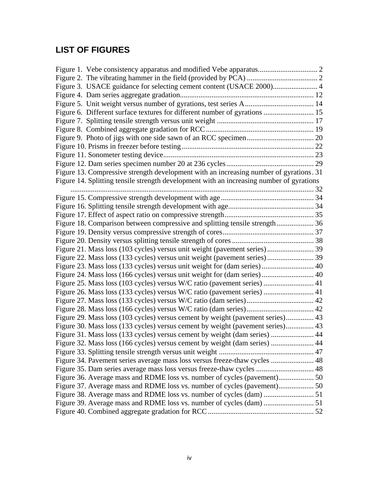# **LIST OF FIGURES**

| Figure 3. USACE guidance for selecting cement content (USACE 2000) 4                     |  |
|------------------------------------------------------------------------------------------|--|
|                                                                                          |  |
|                                                                                          |  |
| Figure 6. Different surface textures for different number of gyrations  15               |  |
|                                                                                          |  |
|                                                                                          |  |
|                                                                                          |  |
|                                                                                          |  |
|                                                                                          |  |
|                                                                                          |  |
| Figure 13. Compressive strength development with an increasing number of gyrations. 31   |  |
| Figure 14. Splitting tensile strength development with an increasing number of gyrations |  |
|                                                                                          |  |
|                                                                                          |  |
|                                                                                          |  |
|                                                                                          |  |
| Figure 18. Comparison between compressive and splitting tensile strength 36              |  |
|                                                                                          |  |
|                                                                                          |  |
|                                                                                          |  |
| Figure 22. Mass loss (133 cycles) versus unit weight (pavement series) 39                |  |
| Figure 23. Mass loss (133 cycles) versus unit weight for (dam series) 40                 |  |
| Figure 24. Mass loss (166 cycles) versus unit weight for (dam series) 40                 |  |
| Figure 25. Mass loss (103 cycles) versus W/C ratio (pavement series)  41                 |  |
| Figure 26. Mass loss (133 cycles) versus W/C ratio (pavement series)  41                 |  |
|                                                                                          |  |
|                                                                                          |  |
| Figure 29. Mass loss (103 cycles) versus cement by weight (pavement series) 43           |  |
| Figure 30. Mass loss (133 cycles) versus cement by weight (pavement series) 43           |  |
| Figure 31. Mass loss (133 cycles) versus cement by weight (dam series)  44               |  |
| Figure 32. Mass loss (166 cycles) versus cement by weight (dam series)  44               |  |
|                                                                                          |  |
| Figure 34. Pavement series average mass loss versus freeze-thaw cycles  48               |  |
| Figure 35. Dam series average mass loss versus freeze-thaw cycles  48                    |  |
| Figure 36. Average mass and RDME loss vs. number of cycles (pavement) 50                 |  |
|                                                                                          |  |
|                                                                                          |  |
|                                                                                          |  |
|                                                                                          |  |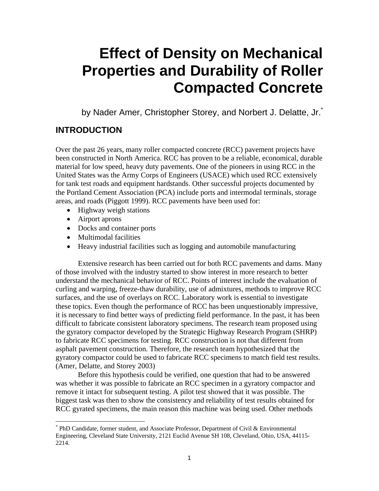# **Effect of Density on Mechanical Properties and Durability of Roller Compacted Concrete**

by Nader Amer, Christopher Storey, and Norbert J. Delatte, Jr.<sup>\*</sup>

# **INTRODUCTION**

Over the past 26 years, many roller compacted concrete (RCC) pavement projects have been constructed in North America. RCC has proven to be a reliable, economical, durable material for low speed, heavy duty pavements. One of the pioneers in using RCC in the United States was the Army Corps of Engineers (USACE) which used RCC extensively for tank test roads and equipment hardstands. Other successful projects documented by the Portland Cement Association (PCA) include ports and intermodal terminals, storage areas, and roads (Piggott 1999). RCC pavements have been used for:

- Highway weigh stations
- Airport aprons

 $\overline{a}$ 

- Docks and container ports
- Multimodal facilities
- Heavy industrial facilities such as logging and automobile manufacturing

Extensive research has been carried out for both RCC pavements and dams. Many of those involved with the industry started to show interest in more research to better understand the mechanical behavior of RCC. Points of interest include the evaluation of curling and warping, freeze-thaw durability, use of admixtures, methods to improve RCC surfaces, and the use of overlays on RCC. Laboratory work is essential to investigate these topics. Even though the performance of RCC has been unquestionably impressive, it is necessary to find better ways of predicting field performance. In the past, it has been difficult to fabricate consistent laboratory specimens. The research team proposed using the gyratory compactor developed by the Strategic Highway Research Program (SHRP) to fabricate RCC specimens for testing. RCC construction is not that different from asphalt pavement construction. Therefore, the research team hypothesized that the gyratory compactor could be used to fabricate RCC specimens to match field test results. (Amer, Delatte, and Storey 2003)

Before this hypothesis could be verified, one question that had to be answered was whether it was possible to fabricate an RCC specimen in a gyratory compactor and remove it intact for subsequent testing. A pilot test showed that it was possible. The biggest task was then to show the consistency and reliability of test results obtained for RCC gyrated specimens, the main reason this machine was being used. Other methods

<sup>\*</sup> PhD Candidate, former student, and Associate Professor, Department of Civil & Environmental Engineering, Cleveland State University, 2121 Euclid Avenue SH 108, Cleveland, Ohio, USA, 44115- 2214.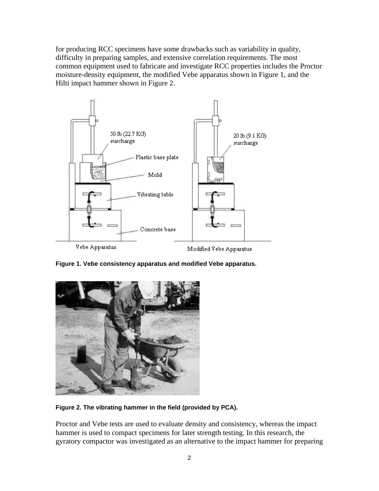for producing RCC specimens have some drawbacks such as variability in quality, difficulty in preparing samples, and extensive correlation requirements. The most common equipment used to fabricate and investigate RCC properties includes the Proctor moisture-density equipment, the modified Vebe apparatus shown in Figure 1, and the Hilti impact hammer shown in Figure 2.



**Figure 1. Vebe consistency apparatus and modified Vebe apparatus.** 



**Figure 2. The vibrating hammer in the field (provided by PCA).** 

Proctor and Vebe tests are used to evaluate density and consistency, whereas the impact hammer is used to compact specimens for later strength testing. In this research, the gyratory compactor was investigated as an alternative to the impact hammer for preparing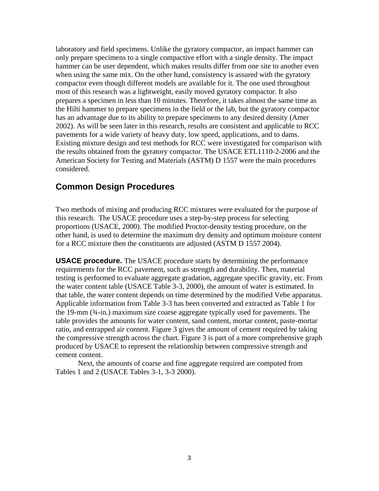laboratory and field specimens. Unlike the gyratory compactor, an impact hammer can only prepare specimens to a single compactive effort with a single density. The impact hammer can be user dependent, which makes results differ from one site to another even when using the same mix. On the other hand, consistency is assured with the gyratory compactor even though different models are available for it. The one used throughout most of this research was a lightweight, easily moved gyratory compactor. It also prepares a specimen in less than 10 minutes. Therefore, it takes almost the same time as the Hilti hammer to prepare specimens in the field or the lab, but the gyratory compactor has an advantage due to its ability to prepare specimens to any desired density (Amer 2002). As will be seen later in this research, results are consistent and applicable to RCC pavements for a wide variety of heavy duty, low speed, applications, and to dams. Existing mixture design and test methods for RCC were investigated for comparison with the results obtained from the gyratory compactor. The USACE ETL1110-2-2006 and the American Society for Testing and Materials (ASTM) D 1557 were the main procedures considered.

### **Common Design Procedures**

Two methods of mixing and producing RCC mixtures were evaluated for the purpose of this research. The USACE procedure uses a step-by-step process for selecting proportions (USACE, 2000). The modified Proctor-density testing procedure, on the other hand, is used to determine the maximum dry density and optimum moisture content for a RCC mixture then the constituents are adjusted (ASTM D 1557 2004).

**USACE procedure.** The USACE procedure starts by determining the performance requirements for the RCC pavement, such as strength and durability. Then, material testing is performed to evaluate aggregate gradation, aggregate specific gravity, etc. From the water content table (USACE Table 3-3, 2000), the amount of water is estimated. In that table, the water content depends on time determined by the modified Vebe apparatus. Applicable information from Table 3-3 has been converted and extracted as Table 1 for the 19-mm ( $\frac{3}{4}$ -in.) maximum size coarse aggregate typically used for pavements. The table provides the amounts for water content, sand content, mortar content, paste-mortar ratio, and entrapped air content. Figure 3 gives the amount of cement required by taking the compressive strength across the chart. Figure 3 is part of a more comprehensive graph produced by USACE to represent the relationship between compressive strength and cement content.

Next, the amounts of coarse and fine aggregate required are computed from Tables 1 and 2 (USACE Tables 3-1, 3-3 2000).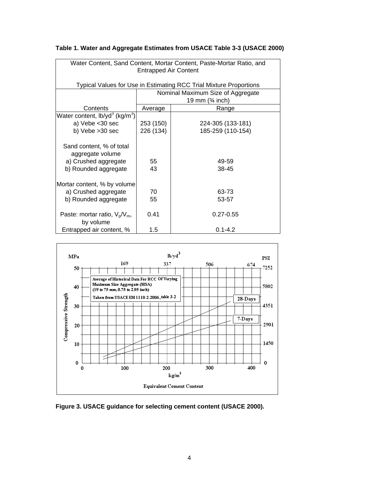| Water Content, Sand Content, Mortar Content, Paste-Mortar Ratio, and<br><b>Entrapped Air Content</b> |                       |                                                                    |  |  |  |  |
|------------------------------------------------------------------------------------------------------|-----------------------|--------------------------------------------------------------------|--|--|--|--|
|                                                                                                      |                       |                                                                    |  |  |  |  |
|                                                                                                      |                       | Typical Values for Use in Estimating RCC Trial Mixture Proportions |  |  |  |  |
|                                                                                                      |                       | Nominal Maximum Size of Aggregate                                  |  |  |  |  |
|                                                                                                      |                       | 19 mm $(3/4 \text{ inch})$                                         |  |  |  |  |
| Contents                                                                                             | Average               | Range                                                              |  |  |  |  |
| Water content, lb/yd <sup>3</sup> (kg/m <sup>3</sup> )                                               |                       |                                                                    |  |  |  |  |
| a) Vebe < 30 sec                                                                                     | 253 (150)             | 224-305 (133-181)                                                  |  |  |  |  |
| b) Vebe > 30 sec                                                                                     | 226 (134)             | 185-259 (110-154)                                                  |  |  |  |  |
|                                                                                                      |                       |                                                                    |  |  |  |  |
| Sand content, % of total                                                                             |                       |                                                                    |  |  |  |  |
| aggregate volume                                                                                     |                       |                                                                    |  |  |  |  |
| a) Crushed aggregate                                                                                 | 55<br>49-59           |                                                                    |  |  |  |  |
| b) Rounded aggregate                                                                                 | 43<br>38-45           |                                                                    |  |  |  |  |
|                                                                                                      |                       |                                                                    |  |  |  |  |
| Mortar content, % by volume                                                                          |                       |                                                                    |  |  |  |  |
| a) Crushed aggregate                                                                                 | 70<br>63-73           |                                                                    |  |  |  |  |
| b) Rounded aggregate                                                                                 | 55                    | 53-57                                                              |  |  |  |  |
|                                                                                                      |                       |                                                                    |  |  |  |  |
| Paste: mortar ratio, $V_p/V_m$ ,                                                                     | 0.41<br>$0.27 - 0.55$ |                                                                    |  |  |  |  |
| by volume                                                                                            |                       |                                                                    |  |  |  |  |
| Entrapped air content, %                                                                             | 1.5                   | $0.1 - 4.2$                                                        |  |  |  |  |

### **Table 1. Water and Aggregate Estimates from USACE Table 3-3 (USACE 2000)**



**Figure 3. USACE guidance for selecting cement content (USACE 2000).**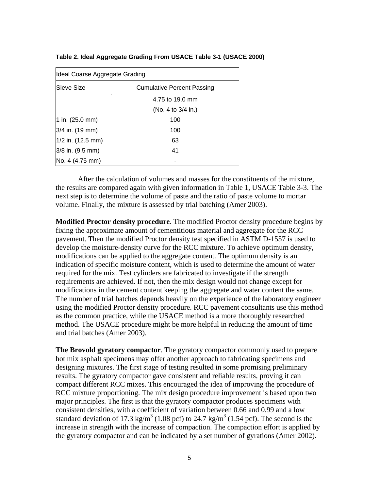| Table 2. Ideal Aggregate Grading From USACE Table 3-1 (USACE 2000) |  |  |  |
|--------------------------------------------------------------------|--|--|--|
|--------------------------------------------------------------------|--|--|--|

| Ideal Coarse Aggregate Grading                   |                    |  |  |
|--------------------------------------------------|--------------------|--|--|
| lSieve Size<br><b>Cumulative Percent Passing</b> |                    |  |  |
| 4.75 to 19.0 mm                                  |                    |  |  |
|                                                  | (No. 4 to 3/4 in.) |  |  |
| 1 in. $(25.0 \text{ mm})$                        | 100                |  |  |
| 3/4 in. (19 mm)                                  | 100                |  |  |
| 1/2 in. (12.5 mm)                                | 63                 |  |  |
| 3/8 in. (9.5 mm)                                 | 41                 |  |  |
| No. 4 (4.75 mm)                                  |                    |  |  |

After the calculation of volumes and masses for the constituents of the mixture, the results are compared again with given information in Table 1, USACE Table 3-3. The next step is to determine the volume of paste and the ratio of paste volume to mortar volume. Finally, the mixture is assessed by trial batching (Amer 2003).

**Modified Proctor density procedure**. The modified Proctor density procedure begins by fixing the approximate amount of cementitious material and aggregate for the RCC pavement. Then the modified Proctor density test specified in ASTM D-1557 is used to develop the moisture-density curve for the RCC mixture. To achieve optimum density, modifications can be applied to the aggregate content. The optimum density is an indication of specific moisture content, which is used to determine the amount of water required for the mix. Test cylinders are fabricated to investigate if the strength requirements are achieved. If not, then the mix design would not change except for modifications in the cement content keeping the aggregate and water content the same. The number of trial batches depends heavily on the experience of the laboratory engineer using the modified Proctor density procedure. RCC pavement consultants use this method as the common practice, while the USACE method is a more thoroughly researched method. The USACE procedure might be more helpful in reducing the amount of time and trial batches (Amer 2003).

**The Brovold gyratory compactor**. The gyratory compactor commonly used to prepare hot mix asphalt specimens may offer another approach to fabricating specimens and designing mixtures. The first stage of testing resulted in some promising preliminary results. The gyratory compactor gave consistent and reliable results, proving it can compact different RCC mixes. This encouraged the idea of improving the procedure of RCC mixture proportioning. The mix design procedure improvement is based upon two major principles. The first is that the gyratory compactor produces specimens with consistent densities, with a coefficient of variation between 0.66 and 0.99 and a low standard deviation of 17.3 kg/m<sup>3</sup> (1.08 pcf) to 24.7 kg/m<sup>3</sup> (1.54 pcf). The second is the increase in strength with the increase of compaction. The compaction effort is applied by the gyratory compactor and can be indicated by a set number of gyrations (Amer 2002).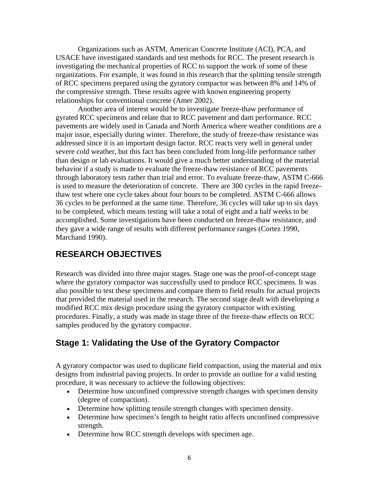Organizations such as ASTM, American Concrete Institute (ACI), PCA, and USACE have investigated standards and test methods for RCC. The present research is investigating the mechanical properties of RCC to support the work of some of these organizations. For example, it was found in this research that the splitting tensile strength of RCC specimens prepared using the gyratory compactor was between 8% and 14% of the compressive strength. These results agree with known engineering property relationships for conventional concrete (Amer 2002).

Another area of interest would be to investigate freeze-thaw performance of gyrated RCC specimens and relate that to RCC pavement and dam performance. RCC pavements are widely used in Canada and North America where weather conditions are a major issue, especially during winter. Therefore, the study of freeze-thaw resistance was addressed since it is an important design factor. RCC reacts very well in general under severe cold weather, but this fact has been concluded from long-life performance rather than design or lab evaluations. It would give a much better understanding of the material behavior if a study is made to evaluate the freeze-thaw resistance of RCC pavements through laboratory tests rather than trial and error. To evaluate freeze-thaw, ASTM C-666 is used to measure the deterioration of concrete. There are 300 cycles in the rapid freezethaw test where one cycle takes about four hours to be completed. ASTM C-666 allows 36 cycles to be performed at the same time. Therefore, 36 cycles will take up to six days to be completed, which means testing will take a total of eight and a half weeks to be accomplished. Some investigations have been conducted on freeze-thaw resistance, and they gave a wide range of results with different performance ranges (Cortez 1990, Marchand 1990).

### **RESEARCH OBJECTIVES**

Research was divided into three major stages. Stage one was the proof-of-concept stage where the gyratory compactor was successfully used to produce RCC specimens. It was also possible to test these specimens and compare them to field results for actual projects that provided the material used in the research. The second stage dealt with developing a modified RCC mix design procedure using the gyratory compactor with existing procedures. Finally, a study was made in stage three of the freeze-thaw effects on RCC samples produced by the gyratory compactor.

### **Stage 1: Validating the Use of the Gyratory Compactor**

A gyratory compactor was used to duplicate field compaction, using the material and mix designs from industrial paving projects. In order to provide an outline for a valid testing procedure, it was necessary to achieve the following objectives:

- Determine how unconfined compressive strength changes with specimen density (degree of compaction).
- Determine how splitting tensile strength changes with specimen density.
- Determine how specimen's length to height ratio affects unconfined compressive strength.
- Determine how RCC strength develops with specimen age.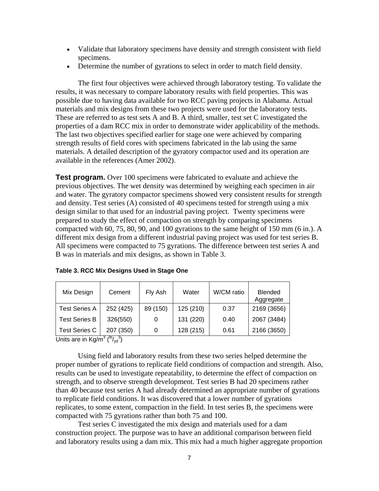- Validate that laboratory specimens have density and strength consistent with field specimens.
- Determine the number of gyrations to select in order to match field density.

The first four objectives were achieved through laboratory testing. To validate the results, it was necessary to compare laboratory results with field properties. This was possible due to having data available for two RCC paving projects in Alabama. Actual materials and mix designs from these two projects were used for the laboratory tests. These are referred to as test sets A and B. A third, smaller, test set C investigated the properties of a dam RCC mix in order to demonstrate wider applicability of the methods. The last two objectives specified earlier for stage one were achieved by comparing strength results of field cores with specimens fabricated in the lab using the same materials. A detailed description of the gyratory compactor used and its operation are available in the references (Amer 2002).

**Test program.** Over 100 specimens were fabricated to evaluate and achieve the previous objectives. The wet density was determined by weighing each specimen in air and water. The gyratory compactor specimens showed very consistent results for strength and density. Test series (A) consisted of 40 specimens tested for strength using a mix design similar to that used for an industrial paving project. Twenty specimens were prepared to study the effect of compaction on strength by comparing specimens compacted with 60, 75, 80, 90, and 100 gyrations to the same height of 150 mm (6 in.). A different mix design from a different industrial paving project was used for test series B. All specimens were compacted to 75 gyrations. The difference between test series A and B was in materials and mix designs, as shown in Table 3.

| Mix Design           | Cement    | Fly Ash  | Water     | W/CM ratio | <b>Blended</b><br>Aggregate |
|----------------------|-----------|----------|-----------|------------|-----------------------------|
| <b>Test Series A</b> | 252 (425) | 89 (150) | 125 (210) | 0.37       | 2169 (3656)                 |
| <b>Test Series B</b> | 326(550)  | 0        | 131 (220) | 0.40       | 2067 (3484)                 |
| <b>Test Series C</b> | 207 (350) | 0        | 128 (215) | 0.61       | 2166 (3650)                 |

Units are in Kg/m<sup>3</sup> ( $b/v_{yd}$ <sup>3</sup>)

Using field and laboratory results from these two series helped determine the proper number of gyrations to replicate field conditions of compaction and strength. Also, results can be used to investigate repeatability, to determine the effect of compaction on strength, and to observe strength development. Test series B had 20 specimens rather than 40 because test series A had already determined an appropriate number of gyrations to replicate field conditions. It was discovered that a lower number of gyrations replicates, to some extent, compaction in the field. In test series B, the specimens were compacted with 75 gyrations rather than both 75 and 100.

Test series C investigated the mix design and materials used for a dam construction project. The purpose was to have an additional comparison between field and laboratory results using a dam mix. This mix had a much higher aggregate proportion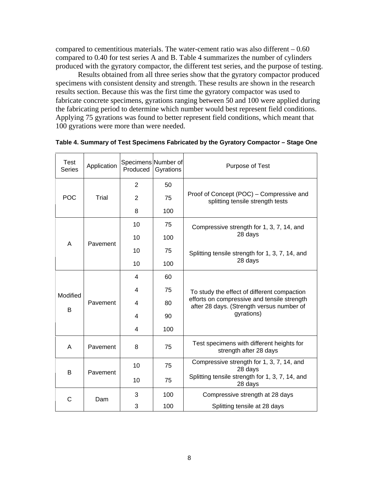compared to cementitious materials. The water-cement ratio was also different – 0.60 compared to 0.40 for test series A and B. Table 4 summarizes the number of cylinders produced with the gyratory compactor, the different test series, and the purpose of testing.

Results obtained from all three series show that the gyratory compactor produced specimens with consistent density and strength. These results are shown in the research results section. Because this was the first time the gyratory compactor was used to fabricate concrete specimens, gyrations ranging between 50 and 100 were applied during the fabricating period to determine which number would best represent field conditions. Applying 75 gyrations was found to better represent field conditions, which meant that 100 gyrations were more than were needed.

| <b>Test</b><br><b>Series</b> | Application | Specimens Number of<br>Produced | Gyrations | Purpose of Test                                                                          |
|------------------------------|-------------|---------------------------------|-----------|------------------------------------------------------------------------------------------|
|                              |             | $\overline{2}$                  | 50        |                                                                                          |
| <b>POC</b>                   | Trial       | $\overline{2}$                  | 75        | Proof of Concept (POC) - Compressive and<br>splitting tensile strength tests             |
|                              |             | 8                               | 100       |                                                                                          |
|                              |             | 10                              | 75        | Compressive strength for 1, 3, 7, 14, and                                                |
|                              | Pavement    | 10                              | 100       | 28 days                                                                                  |
| A                            |             | 10                              | 75        | Splitting tensile strength for 1, 3, 7, 14, and                                          |
|                              |             | 10                              | 100       | 28 days                                                                                  |
| Modified                     |             | 4                               | 60        |                                                                                          |
|                              | Pavement    | 4                               | 75        | To study the effect of different compaction                                              |
|                              |             | 4                               | 80        | efforts on compressive and tensile strength<br>after 28 days. (Strength versus number of |
| В                            |             | 4                               | 90        | gyrations)                                                                               |
|                              |             | 4                               | 100       |                                                                                          |
| A                            | Pavement    | 8                               | 75        | Test specimens with different heights for<br>strength after 28 days                      |
|                              |             | 10                              | 75        | Compressive strength for 1, 3, 7, 14, and<br>28 days                                     |
| B                            | Pavement    | 10                              | 75        | Splitting tensile strength for 1, 3, 7, 14, and<br>28 days                               |
| C                            | Dam         | 3                               | 100       | Compressive strength at 28 days                                                          |
|                              |             | 3                               | 100       | Splitting tensile at 28 days                                                             |

**Table 4. Summary of Test Specimens Fabricated by the Gyratory Compactor – Stage One**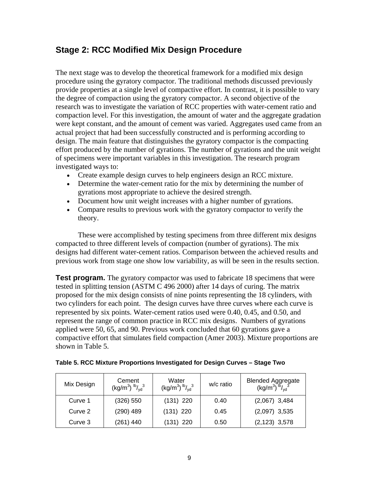# **Stage 2: RCC Modified Mix Design Procedure**

The next stage was to develop the theoretical framework for a modified mix design procedure using the gyratory compactor. The traditional methods discussed previously provide properties at a single level of compactive effort. In contrast, it is possible to vary the degree of compaction using the gyratory compactor. A second objective of the research was to investigate the variation of RCC properties with water-cement ratio and compaction level. For this investigation, the amount of water and the aggregate gradation were kept constant, and the amount of cement was varied. Aggregates used came from an actual project that had been successfully constructed and is performing according to design. The main feature that distinguishes the gyratory compactor is the compacting effort produced by the number of gyrations. The number of gyrations and the unit weight of specimens were important variables in this investigation. The research program investigated ways to:

- Create example design curves to help engineers design an RCC mixture.
- Determine the water-cement ratio for the mix by determining the number of gyrations most appropriate to achieve the desired strength.
- Document how unit weight increases with a higher number of gyrations.
- Compare results to previous work with the gyratory compactor to verify the theory.

These were accomplished by testing specimens from three different mix designs compacted to three different levels of compaction (number of gyrations). The mix designs had different water-cement ratios. Comparison between the achieved results and previous work from stage one show low variability, as will be seen in the results section.

**Test program.** The gyratory compactor was used to fabricate 18 specimens that were tested in splitting tension (ASTM C 496 2000) after 14 days of curing. The matrix proposed for the mix design consists of nine points representing the 18 cylinders, with two cylinders for each point. The design curves have three curves where each curve is represented by six points. Water-cement ratios used were 0.40, 0.45, and 0.50, and represent the range of common practice in RCC mix designs. Numbers of gyrations applied were 50, 65, and 90. Previous work concluded that 60 gyrations gave a compactive effort that simulates field compaction (Amer 2003). Mixture proportions are shown in Table 5.

| Table 5. RCC Mixture Proportions Investigated for Design Curves - Stage Two |
|-----------------------------------------------------------------------------|
|-----------------------------------------------------------------------------|

| Mix Design | Cement<br>$(kg/m^3)$ $b/v_d^3$ | Water<br>$(kg/m^3)$ $b/v_d^3$ | w/c ratio | Blended Aggregate<br>(kg/m <sup>3</sup> ) <sup>lb</sup> / <sub>yd</sub> <sup>3</sup> |
|------------|--------------------------------|-------------------------------|-----------|--------------------------------------------------------------------------------------|
| Curve 1    | (326) 550                      | $(131)$ 220                   | 0.40      | $(2,067)$ 3,484                                                                      |
| Curve 2    | $(290)$ 489                    | $(131)$ 220                   | 0.45      | $(2,097)$ 3,535                                                                      |
| Curve 3    | $(261)$ 440                    | $(131)$ 220                   | 0.50      | $(2, 123)$ 3,578                                                                     |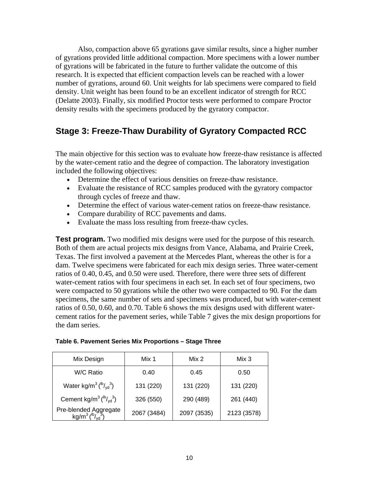Also, compaction above 65 gyrations gave similar results, since a higher number of gyrations provided little additional compaction. More specimens with a lower number of gyrations will be fabricated in the future to further validate the outcome of this research. It is expected that efficient compaction levels can be reached with a lower number of gyrations, around 60. Unit weights for lab specimens were compared to field density. Unit weight has been found to be an excellent indicator of strength for RCC (Delatte 2003). Finally, six modified Proctor tests were performed to compare Proctor density results with the specimens produced by the gyratory compactor.

# **Stage 3: Freeze-Thaw Durability of Gyratory Compacted RCC**

The main objective for this section was to evaluate how freeze-thaw resistance is affected by the water-cement ratio and the degree of compaction. The laboratory investigation included the following objectives:

- Determine the effect of various densities on freeze-thaw resistance.
- Evaluate the resistance of RCC samples produced with the gyratory compactor through cycles of freeze and thaw.
- Determine the effect of various water-cement ratios on freeze-thaw resistance.
- Compare durability of RCC pavements and dams.
- Evaluate the mass loss resulting from freeze-thaw cycles.

**Test program.** Two modified mix designs were used for the purpose of this research. Both of them are actual projects mix designs from Vance, Alabama, and Prairie Creek, Texas. The first involved a pavement at the Mercedes Plant, whereas the other is for a dam. Twelve specimens were fabricated for each mix design series. Three water-cement ratios of 0.40, 0.45, and 0.50 were used. Therefore, there were three sets of different water-cement ratios with four specimens in each set. In each set of four specimens, two were compacted to 50 gyrations while the other two were compacted to 90. For the dam specimens, the same number of sets and specimens was produced, but with water-cement ratios of 0.50, 0.60, and 0.70. Table 6 shows the mix designs used with different watercement ratios for the pavement series, while Table 7 gives the mix design proportions for the dam series.

| Mix Design                                                           | Mix 1       | Mix 2       | Mix 3       |
|----------------------------------------------------------------------|-------------|-------------|-------------|
| W/C Ratio                                                            | 0.40        | 0.45        | 0.50        |
| Water kg/m <sup>3</sup> ( $\frac{1}{v}$ <sub>yd</sub> <sup>3</sup> ) | 131 (220)   | 131 (220)   | 131 (220)   |
| Cement kg/m <sup>3</sup> $\binom{lb}{vd}$ <sup>3</sup> )             | 326 (550)   | 290 (489)   | 261 (440)   |
| Pre-blended Aggregate<br>$kg/m^3 \, (^{lb}/_{vd}^3)$                 | 2067 (3484) | 2097 (3535) | 2123 (3578) |

#### **Table 6. Pavement Series Mix Proportions – Stage Three**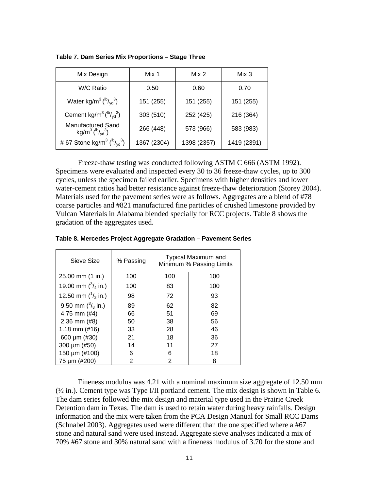| Mix Design                                                           | Mix 1       | Mix 2       | Mix 3       |
|----------------------------------------------------------------------|-------------|-------------|-------------|
| W/C Ratio                                                            | 0.50        | 0.60        | 0.70        |
| Water kg/m <sup>3</sup> ( $\frac{1}{v}$ <sub>yd</sub> <sup>3</sup> ) | 151 (255)   | 151 (255)   | 151 (255)   |
| Cement kg/m <sup>3</sup> $\binom{lb}{vd}$ <sup>3</sup> )             | 303 (510)   | 252 (425)   | 216 (364)   |
| <b>Manufactured Sand</b><br>$kg/m^3$ ( $^{1b}/_{vd}^{3}$ )           | 266 (448)   | 573 (966)   | 583 (983)   |
| # 67 Stone kg/m <sup>3</sup> ( $\frac{b}{vd}$ )                      | 1367 (2304) | 1398 (2357) | 1419 (2391) |

**Table 7. Dam Series Mix Proportions – Stage Three** 

Freeze-thaw testing was conducted following ASTM C 666 (ASTM 1992). Specimens were evaluated and inspected every 30 to 36 freeze-thaw cycles, up to 300 cycles, unless the specimen failed earlier. Specimens with higher densities and lower water-cement ratios had better resistance against freeze-thaw deterioration (Storey 2004). Materials used for the pavement series were as follows. Aggregates are a blend of #78 coarse particles and #821 manufactured fine particles of crushed limestone provided by Vulcan Materials in Alabama blended specially for RCC projects. Table 8 shows the gradation of the aggregates used.

| Sieve Size                   | % Passing |     | <b>Typical Maximum and</b><br>Minimum % Passing Limits |
|------------------------------|-----------|-----|--------------------------------------------------------|
| $25.00$ mm $(1 \text{ in.})$ | 100       | 100 | 100                                                    |
| 19.00 mm $\binom{3}{4}$ in.) | 100       | 83  | 100                                                    |
| 12.50 mm $\binom{1}{2}$ in.) | 98        | 72  | 93                                                     |
| 9.50 mm $\binom{3}{8}$ in.)  | 89        | 62  | 82                                                     |
| 4.75 mm (#4)                 | 66        | 51  | 69                                                     |
| $2.36$ mm $(#8)$             | 50        | 38  | 56                                                     |
| 1.18 mm $(\#16)$             | 33        | 28  | 46                                                     |
| 600 $\mu$ m (#30)            | 21        | 18  | 36                                                     |
| 300 $\mu$ m (#50)            | 14        | 11  | 27                                                     |
| 150 µm (#100)                | 6         | 6   | 18                                                     |
| 75 µm (#200)                 | 2         | 2   | 8                                                      |

**Table 8. Mercedes Project Aggregate Gradation – Pavement Series** 

Fineness modulus was 4.21 with a nominal maximum size aggregate of 12.50 mm  $(\frac{1}{2}$  in.). Cement type was Type I/II portland cement. The mix design is shown in Table 6. The dam series followed the mix design and material type used in the Prairie Creek Detention dam in Texas. The dam is used to retain water during heavy rainfalls. Design information and the mix were taken from the PCA Design Manual for Small RCC Dams (Schnabel 2003). Aggregates used were different than the one specified where a #67 stone and natural sand were used instead. Aggregate sieve analyses indicated a mix of 70% #67 stone and 30% natural sand with a fineness modulus of 3.70 for the stone and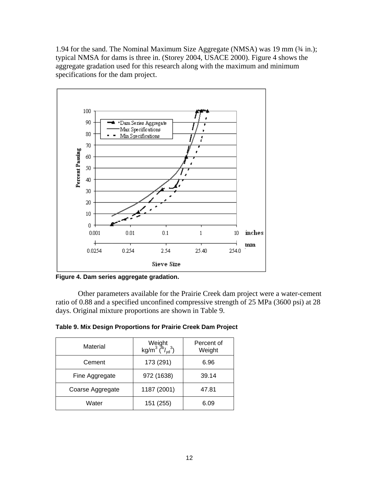1.94 for the sand. The Nominal Maximum Size Aggregate (NMSA) was 19 mm (¾ in.); typical NMSA for dams is three in. (Storey 2004, USACE 2000). Figure 4 shows the aggregate gradation used for this research along with the maximum and minimum specifications for the dam project.



**Figure 4. Dam series aggregate gradation.** 

Other parameters available for the Prairie Creek dam project were a water-cement ratio of 0.88 and a specified unconfined compressive strength of 25 MPa (3600 psi) at 28 days. Original mixture proportions are shown in Table 9.

| Material         | Weight<br>kg/m <sup>3</sup> ( $\frac{b}{vd}$ ) | Percent of<br>Weight |  |  |
|------------------|------------------------------------------------|----------------------|--|--|
| Cement           | 173 (291)                                      | 6.96                 |  |  |
| Fine Aggregate   | 972 (1638)                                     | 39.14                |  |  |
| Coarse Aggregate | 1187 (2001)                                    | 47.81                |  |  |
| Water            | 151 (255)                                      | 6.09                 |  |  |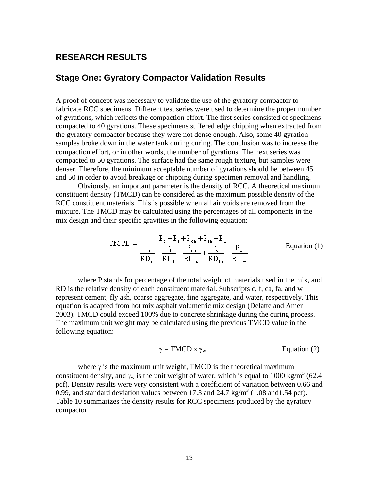### **RESEARCH RESULTS**

### **Stage One: Gyratory Compactor Validation Results**

A proof of concept was necessary to validate the use of the gyratory compactor to fabricate RCC specimens. Different test series were used to determine the proper number of gyrations, which reflects the compaction effort. The first series consisted of specimens compacted to 40 gyrations. These specimens suffered edge chipping when extracted from the gyratory compactor because they were not dense enough. Also, some 40 gyration samples broke down in the water tank during curing. The conclusion was to increase the compaction effort, or in other words, the number of gyrations. The next series was compacted to 50 gyrations. The surface had the same rough texture, but samples were denser. Therefore, the minimum acceptable number of gyrations should be between 45 and 50 in order to avoid breakage or chipping during specimen removal and handling.

Obviously, an important parameter is the density of RCC. A theoretical maximum constituent density (TMCD) can be considered as the maximum possible density of the RCC constituent materials. This is possible when all air voids are removed from the mixture. The TMCD may be calculated using the percentages of all components in the mix design and their specific gravities in the following equation:

$$
TMCD = \frac{P_e + P_f + P_{ea} + P_{fa} + P_w}{\frac{P_e}{RD_e} + \frac{P_f}{RD_{fa}} + \frac{P_{ea}}{RD_{fa}} + \frac{P_{fa}}{RD_w} + \frac{P_w}{RD_w}}
$$
 Equation (1)

where P stands for percentage of the total weight of materials used in the mix, and RD is the relative density of each constituent material. Subscripts c, f, ca, fa, and w represent cement, fly ash, coarse aggregate, fine aggregate, and water, respectively. This equation is adapted from hot mix asphalt volumetric mix design (Delatte and Amer 2003). TMCD could exceed 100% due to concrete shrinkage during the curing process. The maximum unit weight may be calculated using the previous TMCD value in the following equation:

$$
\gamma = \text{TMCD} \times \gamma_w \qquad \qquad \text{Equation (2)}
$$

where  $\gamma$  is the maximum unit weight, TMCD is the theoretical maximum constituent density, and  $\gamma_w$  is the unit weight of water, which is equal to 1000 kg/m<sup>3</sup> (62.4) pcf). Density results were very consistent with a coefficient of variation between 0.66 and 0.99, and standard deviation values between 17.3 and 24.7 kg/m<sup>3</sup> (1.08 and 1.54 pcf). Table 10 summarizes the density results for RCC specimens produced by the gyratory compactor.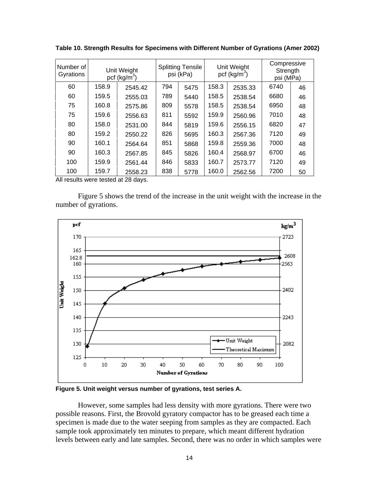| Number of<br>Gyrations | Unit Weight<br>pcf $(kg/m3)$ |         | <b>Splitting Tensile</b><br>psi (kPa) |      |       | Unit Weight<br>pcf $(kg/m3)$ | Compressive<br>Strength<br>psi (MPa) |    |
|------------------------|------------------------------|---------|---------------------------------------|------|-------|------------------------------|--------------------------------------|----|
| 60                     | 158.9                        | 2545.42 | 794                                   | 5475 | 158.3 | 2535.33                      | 6740                                 | 46 |
| 60                     | 159.5                        | 2555.03 | 789                                   | 5440 | 158.5 | 2538.54                      | 6680                                 | 46 |
| 75                     | 160.8                        | 2575.86 | 809                                   | 5578 | 158.5 | 2538.54                      | 6950                                 | 48 |
| 75                     | 159.6                        | 2556.63 | 811                                   | 5592 | 159.9 | 2560.96                      | 7010                                 | 48 |
| 80                     | 158.0                        | 2531.00 | 844                                   | 5819 | 159.6 | 2556.15                      | 6820                                 | 47 |
| 80                     | 159.2                        | 2550.22 | 826                                   | 5695 | 160.3 | 2567.36                      | 7120                                 | 49 |
| 90                     | 160.1                        | 2564.64 | 851                                   | 5868 | 159.8 | 2559.36                      | 7000                                 | 48 |
| 90                     | 160.3                        | 2567.85 | 845                                   | 5826 | 160.4 | 2568.97                      | 6700                                 | 46 |
| 100                    | 159.9                        | 2561.44 | 846                                   | 5833 | 160.7 | 2573.77                      | 7120                                 | 49 |
| 100                    | 159.7                        | 2558.23 | 838                                   | 5778 | 160.0 | 2562.56                      | 7200                                 | 50 |

**Table 10. Strength Results for Specimens with Different Number of Gyrations (Amer 2002)** 

All results were tested at 28 days.

Figure 5 shows the trend of the increase in the unit weight with the increase in the number of gyrations.



**Figure 5. Unit weight versus number of gyrations, test series A.** 

However, some samples had less density with more gyrations. There were two possible reasons. First, the Brovold gyratory compactor has to be greased each time a specimen is made due to the water seeping from samples as they are compacted. Each sample took approximately ten minutes to prepare, which meant different hydration levels between early and late samples. Second, there was no order in which samples were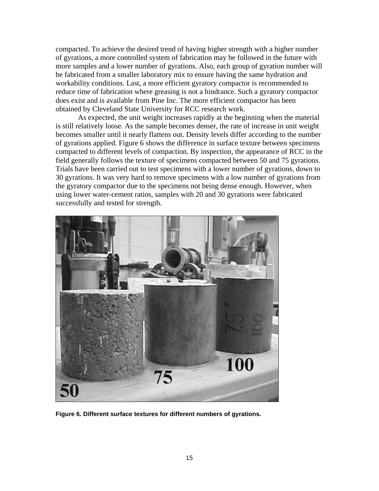compacted. To achieve the desired trend of having higher strength with a higher number of gyrations, a more controlled system of fabrication may be followed in the future with more samples and a lower number of gyrations. Also, each group of gyration number will be fabricated from a smaller laboratory mix to ensure having the same hydration and workability conditions. Last, a more efficient gyratory compactor is recommended to reduce time of fabrication where greasing is not a hindrance. Such a gyratory compactor does exist and is available from Pine Inc. The more efficient compactor has been obtained by Cleveland State University for RCC research work.

As expected, the unit weight increases rapidly at the beginning when the material is still relatively loose. As the sample becomes denser, the rate of increase in unit weight becomes smaller until it nearly flattens out. Density levels differ according to the number of gyrations applied. Figure 6 shows the difference in surface texture between specimens compacted to different levels of compaction. By inspection, the appearance of RCC in the field generally follows the texture of specimens compacted between 50 and 75 gyrations. Trials have been carried out to test specimens with a lower number of gyrations, down to 30 gyrations. It was very hard to remove specimens with a low number of gyrations from the gyratory compactor due to the specimens not being dense enough. However, when using lower water-cement ratios, samples with 20 and 30 gyrations were fabricated successfully and tested for strength.



**Figure 6. Different surface textures for different numbers of gyrations.**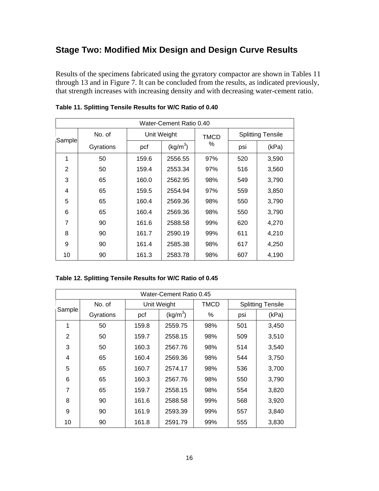# **Stage Two: Modified Mix Design and Design Curve Results**

Results of the specimens fabricated using the gyratory compactor are shown in Tables 11 through 13 and in Figure 7. It can be concluded from the results, as indicated previously, that strength increases with increasing density and with decreasing water-cement ratio.

| Water-Cement Ratio 0.40 |           |       |                      |             |     |                          |  |  |  |
|-------------------------|-----------|-------|----------------------|-------------|-----|--------------------------|--|--|--|
|                         | No. of    |       | Unit Weight          | <b>TMCD</b> |     | <b>Splitting Tensile</b> |  |  |  |
| Sample                  | Gyrations | pcf   | (kg/m <sup>3</sup> ) | ℅           | psi | (kPa)                    |  |  |  |
| 1                       | 50        | 159.6 | 2556.55              | 97%         | 520 | 3,590                    |  |  |  |
| $\overline{2}$          | 50        | 159.4 | 2553.34              | 97%         | 516 | 3,560                    |  |  |  |
| 3                       | 65        | 160.0 | 2562.95              | 98%         | 549 | 3,790                    |  |  |  |
| 4                       | 65        | 159.5 | 2554.94              | 97%         | 559 | 3,850                    |  |  |  |
| 5                       | 65        | 160.4 | 2569.36              | 98%         | 550 | 3,790                    |  |  |  |
| 6                       | 65        | 160.4 | 2569.36              | 98%         | 550 | 3,790                    |  |  |  |
| 7                       | 90        | 161.6 | 2588.58              | 99%         | 620 | 4,270                    |  |  |  |
| 8                       | 90        | 161.7 | 2590.19              | 99%         | 611 | 4,210                    |  |  |  |
| 9                       | 90        | 161.4 | 2585.38              | 98%         | 617 | 4,250                    |  |  |  |
| 10                      | 90        | 161.3 | 2583.78              | 98%         | 607 | 4,190                    |  |  |  |

### **Table 11. Splitting Tensile Results for W/C Ratio of 0.40**

| Water-Cement Ratio 0.45 |           |       |                      |             |                          |       |  |  |  |
|-------------------------|-----------|-------|----------------------|-------------|--------------------------|-------|--|--|--|
|                         | No. of    |       | Unit Weight          | <b>TMCD</b> | <b>Splitting Tensile</b> |       |  |  |  |
| Sample                  | Gyrations | pcf   | (kg/m <sup>3</sup> ) |             | psi                      | (kPa) |  |  |  |
| 1                       | 50        | 159.8 | 2559.75              | 98%         | 501                      | 3,450 |  |  |  |
| 2                       | 50        | 159.7 | 2558.15              | 98%         | 509                      | 3,510 |  |  |  |
| 3                       | 50        | 160.3 | 2567.76              | 98%         | 514                      | 3,540 |  |  |  |
| 4                       | 65        | 160.4 | 2569.36              | 98%         | 544                      | 3,750 |  |  |  |
| 5                       | 65        | 160.7 | 2574.17              | 98%         | 536                      | 3,700 |  |  |  |
| 6                       | 65        | 160.3 | 2567.76              | 98%         | 550                      | 3,790 |  |  |  |
| 7                       | 65        | 159.7 | 2558.15              | 98%         | 554                      | 3,820 |  |  |  |
| 8                       | 90        | 161.6 | 2588.58              | 99%         | 568                      | 3,920 |  |  |  |
| 9                       | 90        | 161.9 | 2593.39              | 99%         | 557                      | 3,840 |  |  |  |
| 10                      | 90        | 161.8 | 2591.79              | 99%         | 555                      | 3,830 |  |  |  |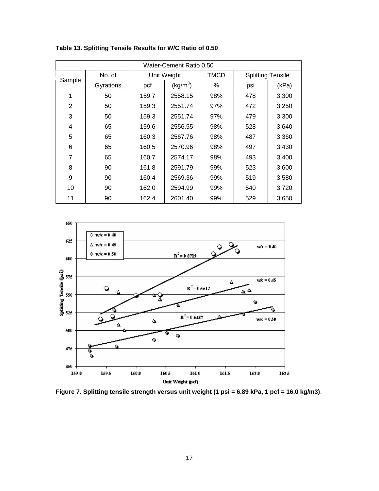| Water-Cement Ratio 0.50 |           |              |                      |             |                          |       |  |  |  |
|-------------------------|-----------|--------------|----------------------|-------------|--------------------------|-------|--|--|--|
|                         | No. of    |              | Unit Weight          | <b>TMCD</b> | <b>Splitting Tensile</b> |       |  |  |  |
| Sample                  | Gyrations | pcf<br>159.7 | (kg/m <sup>3</sup> ) | ℅           | psi                      | (kPa) |  |  |  |
| 1                       | 50        |              | 2558.15              | 98%         | 478                      | 3,300 |  |  |  |
| $\overline{2}$          | 50        | 159.3        | 2551.74              | 97%         | 472                      | 3,250 |  |  |  |
| 3                       | 50        | 159.3        | 2551.74              | 97%         | 479                      | 3,300 |  |  |  |
| 4                       | 65        | 159.6        | 2556.55              | 98%         | 528                      | 3,640 |  |  |  |
| 5                       | 65        | 160.3        | 2567.76              | 98%         | 487                      | 3,360 |  |  |  |
| 6                       | 65        | 160.5        | 2570.96              | 98%         | 497                      | 3,430 |  |  |  |
| 7                       | 65        | 160.7        | 2574.17              | 98%         | 493                      | 3,400 |  |  |  |
| 8                       | 90        | 161.8        | 2591.79              | 99%         | 523                      | 3,600 |  |  |  |
| 9                       | 90        | 160.4        | 2569.36              | 99%         | 519                      | 3,580 |  |  |  |
| 10                      | 90        | 162.0        | 2594.99              | 99%         | 540                      | 3,720 |  |  |  |
| 11                      | 90        | 162.4        | 2601.40              | 99%         | 529                      | 3,650 |  |  |  |

**Table 13. Splitting Tensile Results for W/C Ratio of 0.50** 



**Figure 7. Splitting tensile strength versus unit weight (1 psi = 6.89 kPa, 1 pcf = 16.0 kg/m3)**.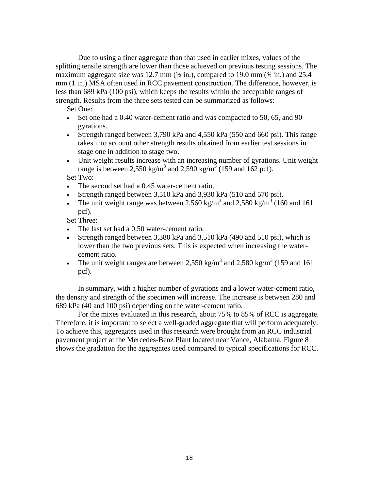Due to using a finer aggregate than that used in earlier mixes, values of the splitting tensile strength are lower than those achieved on previous testing sessions. The maximum aggregate size was 12.7 mm  $(\frac{1}{2}$  in.), compared to 19.0 mm  $(\frac{3}{4}$  in.) and 25.4 mm (1 in.) MSA often used in RCC pavement construction. The difference, however, is less than 689 kPa (100 psi), which keeps the results within the acceptable ranges of strength. Results from the three sets tested can be summarized as follows:

Set One:

- Set one had a 0.40 water-cement ratio and was compacted to 50, 65, and 90 gyrations.
- Strength ranged between 3,790 kPa and 4,550 kPa (550 and 660 psi). This range takes into account other strength results obtained from earlier test sessions in stage one in addition to stage two.
- Unit weight results increase with an increasing number of gyrations. Unit weight range is between 2,550 kg/m<sup>3</sup> and 2,590 kg/m<sup>3</sup> (159 and 162 pcf).

Set Two:

- The second set had a 0.45 water-cement ratio.
- Strength ranged between 3,510 kPa and 3,930 kPa (510 and 570 psi).
- The unit weight range was between 2,560 kg/m<sup>3</sup> and 2,580 kg/m<sup>3</sup> (160 and 161) pcf).

Set Three:

- The last set had a 0.50 water-cement ratio.
- Strength ranged between 3,380 kPa and 3,510 kPa (490 and 510 psi), which is lower than the two previous sets. This is expected when increasing the watercement ratio.
- The unit weight ranges are between 2,550 kg/m<sup>3</sup> and 2,580 kg/m<sup>3</sup> (159 and 161) pcf).

In summary, with a higher number of gyrations and a lower water-cement ratio, the density and strength of the specimen will increase. The increase is between 280 and 689 kPa (40 and 100 psi) depending on the water-cement ratio.

For the mixes evaluated in this research, about 75% to 85% of RCC is aggregate. Therefore, it is important to select a well-graded aggregate that will perform adequately. To achieve this, aggregates used in this research were brought from an RCC industrial pavement project at the Mercedes-Benz Plant located near Vance, Alabama. Figure 8 shows the gradation for the aggregates used compared to typical specifications for RCC.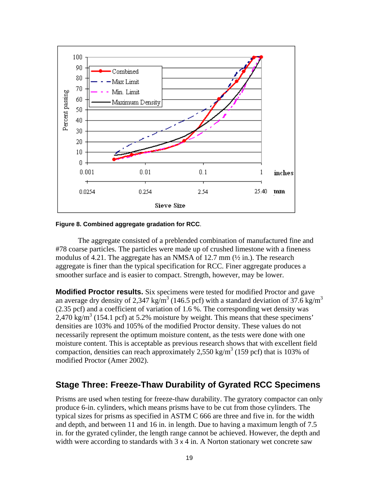

#### **Figure 8. Combined aggregate gradation for RCC**.

The aggregate consisted of a preblended combination of manufactured fine and #78 coarse particles. The particles were made up of crushed limestone with a fineness modulus of 4.21. The aggregate has an NMSA of 12.7 mm  $\frac{1}{2}$  in.). The research aggregate is finer than the typical specification for RCC. Finer aggregate produces a smoother surface and is easier to compact. Strength, however, may be lower.

**Modified Proctor results.** Six specimens were tested for modified Proctor and gave an average dry density of 2,347 kg/m<sup>3</sup> (146.5 pcf) with a standard deviation of 37.6 kg/m<sup>3</sup> (2.35 pcf) and a coefficient of variation of 1.6 %. The corresponding wet density was  $2,470 \text{ kg/m}^3$  (154.1 pcf) at 5.2% moisture by weight. This means that these specimens' densities are 103% and 105% of the modified Proctor density. These values do not necessarily represent the optimum moisture content, as the tests were done with one moisture content. This is acceptable as previous research shows that with excellent field compaction, densities can reach approximately 2,550 kg/m<sup>3</sup> (159 pcf) that is 103% of modified Proctor (Amer 2002).

### **Stage Three: Freeze-Thaw Durability of Gyrated RCC Specimens**

Prisms are used when testing for freeze-thaw durability. The gyratory compactor can only produce 6-in. cylinders, which means prisms have to be cut from those cylinders. The typical sizes for prisms as specified in ASTM C 666 are three and five in. for the width and depth, and between 11 and 16 in. in length. Due to having a maximum length of 7.5 in. for the gyrated cylinder, the length range cannot be achieved. However, the depth and width were according to standards with  $3 \times 4$  in. A Norton stationary wet concrete saw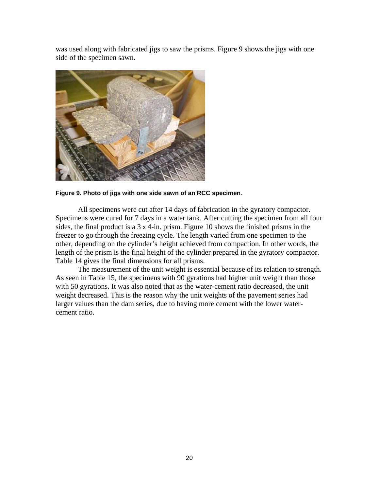was used along with fabricated jigs to saw the prisms. Figure 9 shows the jigs with one side of the specimen sawn.



**Figure 9. Photo of jigs with one side sawn of an RCC specimen**.

All specimens were cut after 14 days of fabrication in the gyratory compactor. Specimens were cured for 7 days in a water tank. After cutting the specimen from all four sides, the final product is a 3 x 4-in. prism. Figure 10 shows the finished prisms in the freezer to go through the freezing cycle. The length varied from one specimen to the other, depending on the cylinder's height achieved from compaction. In other words, the length of the prism is the final height of the cylinder prepared in the gyratory compactor. Table 14 gives the final dimensions for all prisms.

The measurement of the unit weight is essential because of its relation to strength. As seen in Table 15, the specimens with 90 gyrations had higher unit weight than those with 50 gyrations. It was also noted that as the water-cement ratio decreased, the unit weight decreased. This is the reason why the unit weights of the pavement series had larger values than the dam series, due to having more cement with the lower watercement ratio.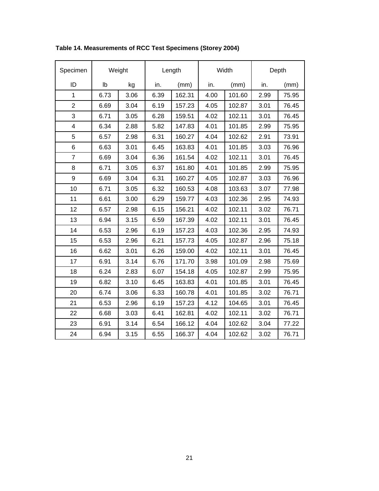| Specimen       | Weight |      |      | Length | Width |        | Depth |       |
|----------------|--------|------|------|--------|-------|--------|-------|-------|
| ID             | Ib     | kg   | in.  | (mm)   | in.   | (mm)   | in.   | (mm)  |
| 1              | 6.73   | 3.06 | 6.39 | 162.31 | 4.00  | 101.60 | 2.99  | 75.95 |
| $\overline{2}$ | 6.69   | 3.04 | 6.19 | 157.23 | 4.05  | 102.87 | 3.01  | 76.45 |
| 3              | 6.71   | 3.05 | 6.28 | 159.51 | 4.02  | 102.11 | 3.01  | 76.45 |
| 4              | 6.34   | 2.88 | 5.82 | 147.83 | 4.01  | 101.85 | 2.99  | 75.95 |
| 5              | 6.57   | 2.98 | 6.31 | 160.27 | 4.04  | 102.62 | 2.91  | 73.91 |
| 6              | 6.63   | 3.01 | 6.45 | 163.83 | 4.01  | 101.85 | 3.03  | 76.96 |
| $\overline{7}$ | 6.69   | 3.04 | 6.36 | 161.54 | 4.02  | 102.11 | 3.01  | 76.45 |
| 8              | 6.71   | 3.05 | 6.37 | 161.80 | 4.01  | 101.85 | 2.99  | 75.95 |
| 9              | 6.69   | 3.04 | 6.31 | 160.27 | 4.05  | 102.87 | 3.03  | 76.96 |
| 10             | 6.71   | 3.05 | 6.32 | 160.53 | 4.08  | 103.63 | 3.07  | 77.98 |
| 11             | 6.61   | 3.00 | 6.29 | 159.77 | 4.03  | 102.36 | 2.95  | 74.93 |
| 12             | 6.57   | 2.98 | 6.15 | 156.21 | 4.02  | 102.11 | 3.02  | 76.71 |
| 13             | 6.94   | 3.15 | 6.59 | 167.39 | 4.02  | 102.11 | 3.01  | 76.45 |
| 14             | 6.53   | 2.96 | 6.19 | 157.23 | 4.03  | 102.36 | 2.95  | 74.93 |
| 15             | 6.53   | 2.96 | 6.21 | 157.73 | 4.05  | 102.87 | 2.96  | 75.18 |
| 16             | 6.62   | 3.01 | 6.26 | 159.00 | 4.02  | 102.11 | 3.01  | 76.45 |
| 17             | 6.91   | 3.14 | 6.76 | 171.70 | 3.98  | 101.09 | 2.98  | 75.69 |
| 18             | 6.24   | 2.83 | 6.07 | 154.18 | 4.05  | 102.87 | 2.99  | 75.95 |
| 19             | 6.82   | 3.10 | 6.45 | 163.83 | 4.01  | 101.85 | 3.01  | 76.45 |
| 20             | 6.74   | 3.06 | 6.33 | 160.78 | 4.01  | 101.85 | 3.02  | 76.71 |
| 21             | 6.53   | 2.96 | 6.19 | 157.23 | 4.12  | 104.65 | 3.01  | 76.45 |
| 22             | 6.68   | 3.03 | 6.41 | 162.81 | 4.02  | 102.11 | 3.02  | 76.71 |
| 23             | 6.91   | 3.14 | 6.54 | 166.12 | 4.04  | 102.62 | 3.04  | 77.22 |
| 24             | 6.94   | 3.15 | 6.55 | 166.37 | 4.04  | 102.62 | 3.02  | 76.71 |

**Table 14. Measurements of RCC Test Specimens (Storey 2004)**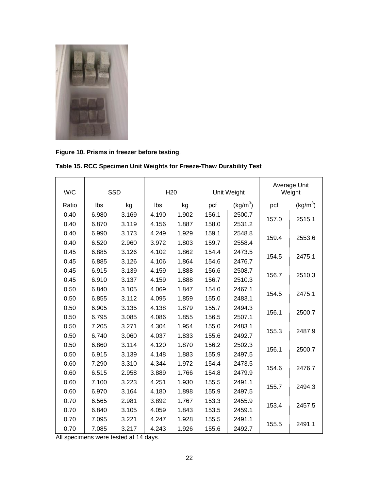

**Figure 10. Prisms in freezer before testing**.

| W/C   |       | SSD   | H <sub>20</sub> |       | Unit Weight |                      |       | Average Unit<br>Weight |
|-------|-------|-------|-----------------|-------|-------------|----------------------|-------|------------------------|
| Ratio | Ibs   | kg    | Ibs<br>kg       |       | pcf         | (kg/m <sup>3</sup> ) | pcf   | (kg/m <sup>3</sup> )   |
| 0.40  | 6.980 | 3.169 | 4.190           | 1.902 | 156.1       | 2500.7               |       |                        |
| 0.40  | 6.870 | 3.119 | 4.156           | 1.887 | 158.0       | 2531.2               | 157.0 | 2515.1                 |
| 0.40  | 6.990 | 3.173 | 4.249           | 1.929 | 159.1       | 2548.8               |       |                        |
| 0.40  | 6.520 | 2.960 | 3.972           | 1.803 | 159.7       | 2558.4               | 159.4 | 2553.6                 |
| 0.45  | 6.885 | 3.126 | 4.102           | 1.862 | 154.4       | 2473.5               |       |                        |
| 0.45  | 6.885 | 3.126 | 4.106           | 1.864 | 154.6       | 2476.7               | 154.5 | 2475.1                 |
| 0.45  | 6.915 | 3.139 | 4.159           | 1.888 | 156.6       | 2508.7               |       |                        |
| 0.45  | 6.910 | 3.137 | 4.159           | 1.888 | 156.7       | 2510.3               | 156.7 | 2510.3                 |
| 0.50  | 6.840 | 3.105 | 4.069           | 1.847 | 154.0       | 2467.1               |       |                        |
| 0.50  | 6.855 | 3.112 | 4.095           | 1.859 | 155.0       | 2483.1               | 154.5 | 2475.1                 |
| 0.50  | 6.905 | 3.135 | 4.138           | 1.879 | 155.7       | 2494.3               |       |                        |
| 0.50  | 6.795 | 3.085 | 4.086           | 1.855 | 156.5       | 2507.1               | 156.1 | 2500.7                 |
| 0.50  | 7.205 | 3.271 | 4.304           | 1.954 | 155.0       | 2483.1               |       |                        |
| 0.50  | 6.740 | 3.060 | 4.037           | 1.833 | 155.6       | 2492.7               | 155.3 | 2487.9                 |
| 0.50  | 6.860 | 3.114 | 4.120           | 1.870 | 156.2       | 2502.3               |       |                        |
| 0.50  | 6.915 | 3.139 | 4.148           | 1.883 | 155.9       | 2497.5               | 156.1 | 2500.7                 |
| 0.60  | 7.290 | 3.310 | 4.344           | 1.972 | 154.4       | 2473.5               | 154.6 | 2476.7                 |
| 0.60  | 6.515 | 2.958 | 3.889           | 1.766 | 154.8       | 2479.9               |       |                        |
| 0.60  | 7.100 | 3.223 | 4.251           | 1.930 | 155.5       | 2491.1               |       |                        |
| 0.60  | 6.970 | 3.164 | 4.180           | 1.898 | 155.9       | 2497.5               | 155.7 | 2494.3                 |
| 0.70  | 6.565 | 2.981 | 3.892           | 1.767 | 153.3       | 2455.9               |       |                        |
| 0.70  | 6.840 | 3.105 | 4.059           | 1.843 | 153.5       | 2459.1               | 153.4 | 2457.5                 |
| 0.70  | 7.095 | 3.221 | 4.247           | 1.928 | 155.5       | 2491.1               |       |                        |
| 0.70  | 7.085 | 3.217 | 4.243           | 1.926 | 155.6       | 2492.7               | 155.5 | 2491.1                 |

**Table 15. RCC Specimen Unit Weights for Freeze-Thaw Durability Test** 

All specimens were tested at 14 days.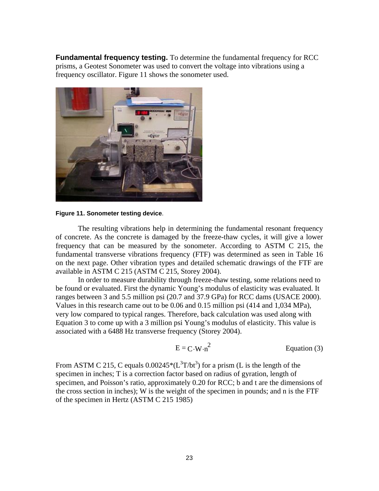**Fundamental frequency testing.** To determine the fundamental frequency for RCC prisms, a Geotest Sonometer was used to convert the voltage into vibrations using a frequency oscillator. Figure 11 shows the sonometer used.



**Figure 11. Sonometer testing device**.

The resulting vibrations help in determining the fundamental resonant frequency of concrete. As the concrete is damaged by the freeze-thaw cycles, it will give a lower frequency that can be measured by the sonometer. According to ASTM C 215, the fundamental transverse vibrations frequency (FTF) was determined as seen in Table 16 on the next page. Other vibration types and detailed schematic drawings of the FTF are available in ASTM C 215 (ASTM C 215, Storey 2004).

In order to measure durability through freeze-thaw testing, some relations need to be found or evaluated. First the dynamic Young's modulus of elasticity was evaluated. It ranges between 3 and 5.5 million psi (20.7 and 37.9 GPa) for RCC dams (USACE 2000). Values in this research came out to be 0.06 and 0.15 million psi (414 and 1,034 MPa), very low compared to typical ranges. Therefore, back calculation was used along with Equation 3 to come up with a 3 million psi Young's modulus of elasticity. This value is associated with a 6488 Hz transverse frequency (Storey 2004).

$$
E = C \cdot W \cdot n^2
$$
 Equation (3)

From ASTM C 215, C equals  $0.00245*(L^3T/bt^3)$  for a prism (L is the length of the specimen in inches; T is a correction factor based on radius of gyration, length of specimen, and Poisson's ratio, approximately 0.20 for RCC; b and t are the dimensions of the cross section in inches); W is the weight of the specimen in pounds; and n is the FTF of the specimen in Hertz (ASTM C 215 1985)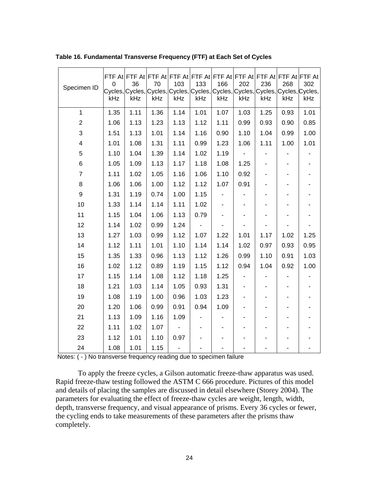| Specimen ID      | 0<br>kHz | 36<br>kHz | 70<br>kHz | 103<br>kHz | 133<br>kHz | 166<br>kHz | 202<br>kHz               | 236<br>kHz               | 268<br>kHz               | FTF At FTF At FTF At FTF At FTF At FTF At FTF At FTF At FTF At FTF At FTF At<br>302<br>Cycles, Cycles, Cycles, Cycles, Cycles, Cycles, Cycles, Cycles, Cycles, Cycles, C<br>kHz |
|------------------|----------|-----------|-----------|------------|------------|------------|--------------------------|--------------------------|--------------------------|---------------------------------------------------------------------------------------------------------------------------------------------------------------------------------|
| $\mathbf{1}$     | 1.35     | 1.11      | 1.36      | 1.14       | 1.01       | 1.07       | 1.03                     | 1.25                     | 0.93                     | 1.01                                                                                                                                                                            |
| $\boldsymbol{2}$ | 1.06     | 1.13      | 1.23      | 1.13       | 1.12       | 1.11       | 0.99                     | 0.93                     | 0.90                     | 0.85                                                                                                                                                                            |
| 3                | 1.51     | 1.13      | 1.01      | 1.14       | 1.16       | 0.90       | 1.10                     | 1.04                     | 0.99                     | 1.00                                                                                                                                                                            |
| 4                | 1.01     | 1.08      | 1.31      | 1.11       | 0.99       | 1.23       | 1.06                     | 1.11                     | 1.00                     | 1.01                                                                                                                                                                            |
| 5                | 1.10     | 1.04      | 1.39      | 1.14       | 1.02       | 1.19       | $\overline{\phantom{a}}$ | ٠                        |                          |                                                                                                                                                                                 |
| 6                | 1.05     | 1.09      | 1.13      | 1.17       | 1.18       | 1.08       | 1.25                     |                          |                          |                                                                                                                                                                                 |
| $\overline{7}$   | 1.11     | 1.02      | 1.05      | 1.16       | 1.06       | 1.10       | 0.92                     | $\overline{\phantom{a}}$ | $\overline{\phantom{a}}$ |                                                                                                                                                                                 |
| 8                | 1.06     | 1.06      | 1.00      | 1.12       | 1.12       | 1.07       | 0.91                     | ٠                        | $\overline{\phantom{0}}$ |                                                                                                                                                                                 |
| 9                | 1.31     | 1.19      | 0.74      | 1.00       | 1.15       |            |                          |                          |                          |                                                                                                                                                                                 |
| 10               | 1.33     | 1.14      | 1.14      | 1.11       | 1.02       |            |                          |                          |                          |                                                                                                                                                                                 |
| 11               | 1.15     | 1.04      | 1.06      | 1.13       | 0.79       |            |                          |                          |                          |                                                                                                                                                                                 |
| 12               | 1.14     | 1.02      | 0.99      | 1.24       |            |            |                          |                          |                          |                                                                                                                                                                                 |
| 13               | 1.27     | 1.03      | 0.99      | 1.12       | 1.07       | 1.22       | 1.01                     | 1.17                     | 1.02                     | 1.25                                                                                                                                                                            |
| 14               | 1.12     | 1.11      | 1.01      | 1.10       | 1.14       | 1.14       | 1.02                     | 0.97                     | 0.93                     | 0.95                                                                                                                                                                            |
| 15               | 1.35     | 1.33      | 0.96      | 1.13       | 1.12       | 1.26       | 0.99                     | 1.10                     | 0.91                     | 1.03                                                                                                                                                                            |
| 16               | 1.02     | 1.12      | 0.89      | 1.19       | 1.15       | 1.12       | 0.94                     | 1.04                     | 0.92                     | 1.00                                                                                                                                                                            |
| 17               | 1.15     | 1.14      | 1.08      | 1.12       | 1.18       | 1.25       |                          |                          |                          |                                                                                                                                                                                 |
| 18               | 1.21     | 1.03      | 1.14      | 1.05       | 0.93       | 1.31       |                          | ٠                        | ٠                        |                                                                                                                                                                                 |
| 19               | 1.08     | 1.19      | 1.00      | 0.96       | 1.03       | 1.23       |                          |                          |                          |                                                                                                                                                                                 |
| 20               | 1.20     | 1.06      | 0.99      | 0.91       | 0.94       | 1.09       |                          |                          |                          |                                                                                                                                                                                 |
| 21               | 1.13     | 1.09      | 1.16      | 1.09       |            |            |                          | ٠                        | ۰                        |                                                                                                                                                                                 |
| 22               | 1.11     | 1.02      | 1.07      |            |            |            |                          |                          |                          |                                                                                                                                                                                 |
| 23               | 1.12     | 1.01      | 1.10      | 0.97       |            |            |                          |                          |                          |                                                                                                                                                                                 |
| 24               | 1.08     | 1.01      | 1.15      |            |            |            |                          |                          |                          |                                                                                                                                                                                 |

**Table 16. Fundamental Transverse Frequency (FTF) at Each Set of Cycles** 

Notes: ( - ) No transverse frequency reading due to specimen failure

To apply the freeze cycles, a Gilson automatic freeze-thaw apparatus was used. Rapid freeze-thaw testing followed the ASTM C 666 procedure. Pictures of this model and details of placing the samples are discussed in detail elsewhere (Storey 2004). The parameters for evaluating the effect of freeze-thaw cycles are weight, length, width, depth, transverse frequency, and visual appearance of prisms. Every 36 cycles or fewer, the cycling ends to take measurements of these parameters after the prisms thaw completely.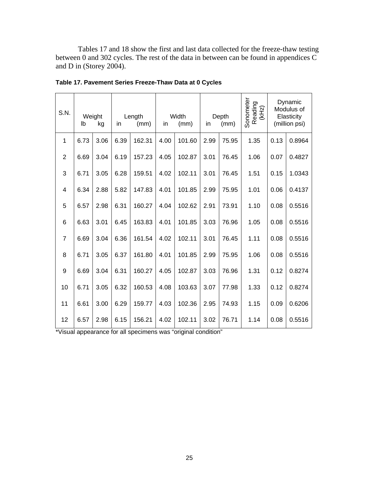Tables 17 and 18 show the first and last data collected for the freeze-thaw testing between 0 and 302 cycles. The rest of the data in between can be found in appendices  $\widetilde{C}$ and D in (Storey 2004).

| S.N.           | Width<br>Weight<br>Length<br>(mm)<br>lb<br>kg<br>in<br>(mm)<br>in |      |      | Depth<br>(mm)<br>in |      | Sonometer<br>Reading<br>(kHz) | Dynamic<br>Modulus of<br>Elasticity<br>(million psi) |       |      |      |        |
|----------------|-------------------------------------------------------------------|------|------|---------------------|------|-------------------------------|------------------------------------------------------|-------|------|------|--------|
| 1              | 6.73                                                              | 3.06 | 6.39 | 162.31              | 4.00 | 101.60                        | 2.99                                                 | 75.95 | 1.35 | 0.13 | 0.8964 |
| $\overline{2}$ | 6.69                                                              | 3.04 | 6.19 | 157.23              | 4.05 | 102.87                        | 3.01                                                 | 76.45 | 1.06 | 0.07 | 0.4827 |
| 3              | 6.71                                                              | 3.05 | 6.28 | 159.51              | 4.02 | 102.11                        | 3.01                                                 | 76.45 | 1.51 | 0.15 | 1.0343 |
| 4              | 6.34                                                              | 2.88 | 5.82 | 147.83              | 4.01 | 101.85                        | 2.99                                                 | 75.95 | 1.01 | 0.06 | 0.4137 |
| 5              | 6.57                                                              | 2.98 | 6.31 | 160.27              | 4.04 | 102.62                        | 2.91                                                 | 73.91 | 1.10 | 0.08 | 0.5516 |
| 6              | 6.63                                                              | 3.01 | 6.45 | 163.83              | 4.01 | 101.85                        | 3.03                                                 | 76.96 | 1.05 | 0.08 | 0.5516 |
| $\overline{7}$ | 6.69                                                              | 3.04 | 6.36 | 161.54              | 4.02 | 102.11                        | 3.01                                                 | 76.45 | 1.11 | 0.08 | 0.5516 |
| 8              | 6.71                                                              | 3.05 | 6.37 | 161.80              | 4.01 | 101.85                        | 2.99                                                 | 75.95 | 1.06 | 0.08 | 0.5516 |
| 9              | 6.69                                                              | 3.04 | 6.31 | 160.27              | 4.05 | 102.87                        | 3.03                                                 | 76.96 | 1.31 | 0.12 | 0.8274 |
| 10             | 6.71                                                              | 3.05 | 6.32 | 160.53              | 4.08 | 103.63                        | 3.07                                                 | 77.98 | 1.33 | 0.12 | 0.8274 |
| 11             | 6.61                                                              | 3.00 | 6.29 | 159.77              | 4.03 | 102.36                        | 2.95                                                 | 74.93 | 1.15 | 0.09 | 0.6206 |
| 12             | 6.57                                                              | 2.98 | 6.15 | 156.21              | 4.02 | 102.11                        | 3.02                                                 | 76.71 | 1.14 | 0.08 | 0.5516 |

| Table 17. Pavement Series Freeze-Thaw Data at 0 Cycles |
|--------------------------------------------------------|
|--------------------------------------------------------|

\*Visual appearance for all specimens was "original condition"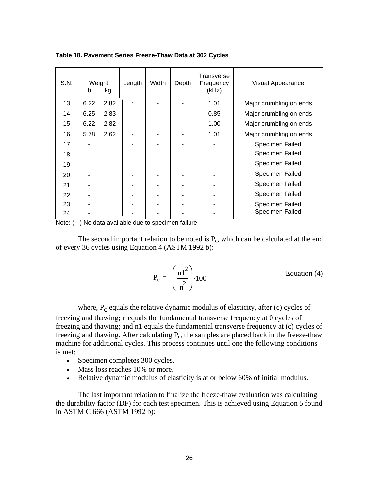| S.N. | Weight<br>lb<br>kg |      | Width<br>Depth<br>Length |  | Transverse<br>Frequency<br>(kHz) | Visual Appearance       |
|------|--------------------|------|--------------------------|--|----------------------------------|-------------------------|
| 13   | 6.22               | 2.82 |                          |  | 1.01                             | Major crumbling on ends |
| 14   | 6.25               | 2.83 |                          |  | 0.85                             | Major crumbling on ends |
| 15   | 6.22               | 2.82 |                          |  | 1.00                             | Major crumbling on ends |
| 16   | 5.78               | 2.62 |                          |  | 1.01                             | Major crumbling on ends |
| 17   |                    |      |                          |  |                                  | Specimen Failed         |
| 18   |                    |      |                          |  |                                  | Specimen Failed         |
| 19   |                    |      |                          |  |                                  | Specimen Failed         |
| 20   |                    |      |                          |  |                                  | Specimen Failed         |
| 21   |                    |      |                          |  |                                  | Specimen Failed         |
| 22   |                    |      |                          |  |                                  | Specimen Failed         |
| 23   |                    |      |                          |  |                                  | Specimen Failed         |
| 24   |                    |      |                          |  |                                  | Specimen Failed         |

**Table 18. Pavement Series Freeze-Thaw Data at 302 Cycles** 

Note: ( - ) No data available due to specimen failure

The second important relation to be noted is  $P_c$ , which can be calculated at the end of every 36 cycles using Equation 4 (ASTM 1992 b):

$$
P_c = \left(\frac{n1^2}{n^2}\right) \cdot 100
$$
 Equation (4)

where, P<sub>c</sub> equals the relative dynamic modulus of elasticity, after (c) cycles of freezing and thawing; n equals the fundamental transverse frequency at 0 cycles of freezing and thawing; and n1 equals the fundamental transverse frequency at (c) cycles of freezing and thawing. After calculating  $P_c$ , the samples are placed back in the freeze-thaw machine for additional cycles. This process continues until one the following conditions is met:

- Specimen completes 300 cycles.
- Mass loss reaches 10% or more.
- Relative dynamic modulus of elasticity is at or below 60% of initial modulus.

The last important relation to finalize the freeze-thaw evaluation was calculating the durability factor (DF) for each test specimen. This is achieved using Equation 5 found in ASTM C 666 (ASTM 1992 b):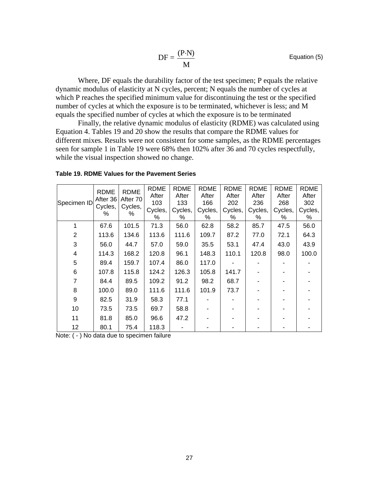Equation (5)

$$
DF = \frac{(P \cdot N)}{M}
$$
Equatio

Where, DF equals the durability factor of the test specimen; P equals the relative dynamic modulus of elasticity at N cycles, percent; N equals the number of cycles at which P reaches the specified minimum value for discontinuing the test or the specified number of cycles at which the exposure is to be terminated, whichever is less; and M equals the specified number of cycles at which the exposure is to be terminated

Finally, the relative dynamic modulus of elasticity (RDME) was calculated using Equation 4. Tables 19 and 20 show the results that compare the RDME values for different mixes. Results were not consistent for some samples, as the RDME percentages seen for sample 1 in Table 19 were 68% then 102% after 36 and 70 cycles respectfully, while the visual inspection showed no change.

|  |                | <b>RDME</b> | <b>RDME</b>  | <b>RDME</b> | <b>RDME</b> | <b>RDME</b> | RDME    | <b>RDME</b> | <b>RDME</b> | RDME    |
|--|----------------|-------------|--------------|-------------|-------------|-------------|---------|-------------|-------------|---------|
|  |                | After 36    | After 70     | After       | After       | After       | After   | After       | After       | After   |
|  | Specimen ID    | Cycles,     | Cycles,<br>% | 103         | 133         | 166         | 202     | 236         | 268         | 302     |
|  |                | %           |              | Cycles,     | Cycles,     | Cycles,     | Cycles, | Cycles,     | Cycles,     | Cycles, |
|  |                |             |              | %           | %           | %           | ℅       | ℅           | %           | ℅       |
|  | 1              | 67.6        | 101.5        | 71.3        | 56.0        | 62.8        | 58.2    | 85.7        | 47.5        | 56.0    |
|  | $\overline{2}$ | 113.6       | 134.6        | 113.6       | 111.6       | 109.7       | 87.2    | 77.0        | 72.1        | 64.3    |
|  | 3              | 56.0        | 44.7         | 57.0        | 59.0        | 35.5        | 53.1    | 47.4        | 43.0        | 43.9    |
|  | 4              | 114.3       | 168.2        | 120.8       | 96.1        | 148.3       | 110.1   | 120.8       | 98.0        | 100.0   |
|  | 5              | 89.4        | 159.7        | 107.4       | 86.0        | 117.0       |         |             |             |         |
|  | 6              | 107.8       | 115.8        | 124.2       | 126.3       | 105.8       | 141.7   |             |             |         |
|  | 7              | 84.4        | 89.5         | 109.2       | 91.2        | 98.2        | 68.7    |             |             |         |
|  | 8              | 100.0       | 89.0         | 111.6       | 111.6       | 101.9       | 73.7    |             |             |         |
|  | 9              | 82.5        | 31.9         | 58.3        | 77.1        |             |         |             |             |         |
|  | 10             | 73.5        | 73.5         | 69.7        | 58.8        |             |         |             |             |         |
|  | 11             | 81.8        | 85.0         | 96.6        | 47.2        |             |         |             |             |         |
|  | 12             | 80.1        | 75.4         | 118.3       |             |             |         |             |             |         |

|  |  |  | Table 19. RDME Values for the Pavement Series |
|--|--|--|-----------------------------------------------|
|--|--|--|-----------------------------------------------|

Note: ( - ) No data due to specimen failure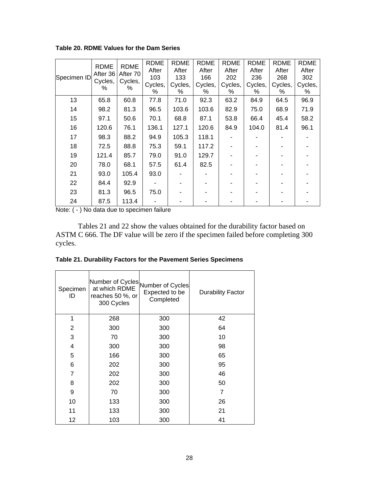**Table 20. RDME Values for the Dam Series** 

| Specimen ID                    | <b>RDME</b><br>After 36<br>Cycles, | <b>RDME</b><br>After 70<br>Cycles,<br>% | <b>RDME</b><br>After<br>103 | RDME<br>After<br>133 | <b>RDME</b><br>After<br>166 | <b>RDME</b><br>After<br>202 | <b>RDME</b><br>After<br>236 | <b>RDME</b><br>After<br>268 | <b>RDME</b><br>After<br>302 |
|--------------------------------|------------------------------------|-----------------------------------------|-----------------------------|----------------------|-----------------------------|-----------------------------|-----------------------------|-----------------------------|-----------------------------|
|                                | %                                  |                                         | Cycles,<br>%                | Cycles,<br>%         | Cycles,<br>%                | Cycles,<br>%                | Cycles,<br>℅                | Cycles,<br>%                | Cycles,<br>%                |
| 13                             | 65.8                               | 60.8                                    | 77.8                        | 71.0                 | 92.3                        | 63.2                        | 84.9                        | 64.5                        | 96.9                        |
| 14                             | 98.2                               | 81.3                                    | 96.5                        | 103.6                | 103.6                       | 82.9                        | 75.0                        | 68.9                        | 71.9                        |
| 15                             | 97.1                               | 50.6                                    | 70.1                        | 68.8                 | 87.1                        | 53.8                        | 66.4                        | 45.4                        | 58.2                        |
| 16                             | 120.6                              | 76.1                                    | 136.1                       | 127.1                | 120.6                       | 84.9                        | 104.0                       | 81.4                        | 96.1                        |
| 17                             | 98.3                               | 88.2                                    | 94.9                        | 105.3                | 118.1                       |                             |                             |                             |                             |
| 18                             | 72.5                               | 88.8                                    | 75.3                        | 59.1                 | 117.2                       |                             |                             |                             |                             |
| 19                             | 121.4                              | 85.7                                    | 79.0                        | 91.0                 | 129.7                       |                             |                             |                             |                             |
| 20                             | 78.0                               | 68.1                                    | 57.5                        | 61.4                 | 82.5                        |                             |                             |                             |                             |
| 21                             | 93.0                               | 105.4                                   | 93.0                        |                      |                             |                             |                             |                             |                             |
| 22                             | 84.4                               | 92.9                                    |                             |                      |                             |                             |                             |                             |                             |
| 23                             | 81.3                               | 96.5                                    | 75.0                        |                      |                             |                             |                             |                             |                             |
| 24<br>$\cdots$<br>$\mathbf{v}$ | 87.5                               | 113.4                                   | $\sim$ $\sim$               |                      |                             |                             |                             |                             |                             |

Note: ( - ) No data due to specimen failure

Tables 21 and 22 show the values obtained for the durability factor based on ASTM C 666. The DF value will be zero if the specimen failed before completing 300 cycles.

| Table 21. Durability Factors for the Pavement Series Specimens |  |  |  |
|----------------------------------------------------------------|--|--|--|
|                                                                |  |  |  |

| Specimen<br>ID | at which RDME<br>reaches 50 %, or<br>300 Cycles | Number of Cycles<br>Number of Cycles<br>Expected to be<br>Completed | <b>Durability Factor</b> |  |  |
|----------------|-------------------------------------------------|---------------------------------------------------------------------|--------------------------|--|--|
| 1              | 268                                             | 300                                                                 | 42                       |  |  |
| 2              | 300                                             | 300                                                                 | 64                       |  |  |
| 3              | 70                                              | 300                                                                 | 10                       |  |  |
| 4              | 300                                             | 300                                                                 | 98                       |  |  |
| 5              | 166                                             | 300                                                                 | 65                       |  |  |
| 6              | 202                                             | 300                                                                 | 95                       |  |  |
| 7              | 202                                             | 300                                                                 | 46                       |  |  |
| 8              | 202                                             | 300                                                                 | 50                       |  |  |
| 9              | 70                                              | 300                                                                 | 7                        |  |  |
| 10             | 133                                             | 300                                                                 | 26                       |  |  |
| 11             | 133                                             | 300                                                                 | 21                       |  |  |
| 12             | 103                                             | 300                                                                 | 41                       |  |  |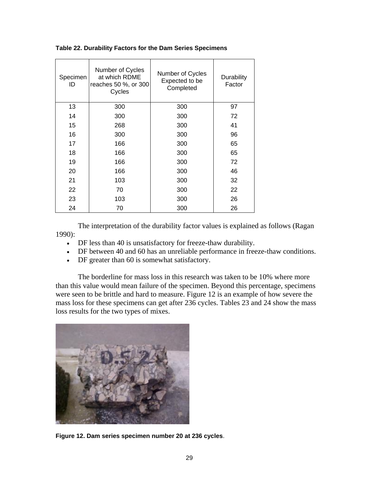|  |  |  | Table 22. Durability Factors for the Dam Series Specimens |
|--|--|--|-----------------------------------------------------------|
|  |  |  |                                                           |

| Specimen<br>ID | Number of Cycles<br>at which RDME<br>reaches 50 %, or 300<br>Cycles | Number of Cycles<br>Expected to be<br>Completed | Durability<br>Factor |  |  |
|----------------|---------------------------------------------------------------------|-------------------------------------------------|----------------------|--|--|
| 13             | 300                                                                 | 300                                             | 97                   |  |  |
| 14             | 300                                                                 | 300                                             | 72                   |  |  |
| 15             | 268                                                                 | 300                                             | 41                   |  |  |
| 16             | 300                                                                 | 300                                             | 96                   |  |  |
| 17             | 166                                                                 | 300                                             | 65                   |  |  |
| 18             | 166                                                                 | 300                                             | 65                   |  |  |
| 19             | 166                                                                 | 300                                             | 72                   |  |  |
| 20             | 166                                                                 | 300                                             | 46                   |  |  |
| 21             | 103                                                                 | 300                                             | 32                   |  |  |
| 22             | 70                                                                  | 300                                             | 22                   |  |  |
| 23             | 103                                                                 | 300                                             | 26                   |  |  |
| 24             | 70                                                                  | 300                                             | 26                   |  |  |

The interpretation of the durability factor values is explained as follows (Ragan 1990):

- DF less than 40 is unsatisfactory for freeze-thaw durability.
- DF between 40 and 60 has an unreliable performance in freeze-thaw conditions.
- DF greater than 60 is somewhat satisfactory.

The borderline for mass loss in this research was taken to be 10% where more than this value would mean failure of the specimen. Beyond this percentage, specimens were seen to be brittle and hard to measure. Figure 12 is an example of how severe the mass loss for these specimens can get after 236 cycles. Tables 23 and 24 show the mass loss results for the two types of mixes.



**Figure 12. Dam series specimen number 20 at 236 cycles**.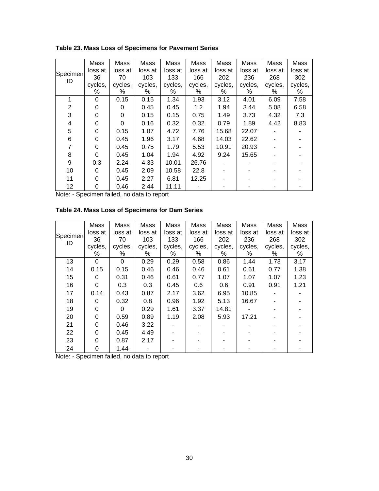**Table 23. Mass Loss of Specimens for Pavement Series** 

|                | Mass     | Mass    | Mass    | Mass    | Mass    | Mass    | Mass    | Mass    | Mass    |
|----------------|----------|---------|---------|---------|---------|---------|---------|---------|---------|
| Specimen       | loss at  | loss at | loss at | loss at | loss at | loss at | loss at | loss at | loss at |
| ID             | 36       | 70      | 103     | 133     | 166     | 202     | 236     | 268     | 302     |
|                | cycles,  | cycles, | cycles, | cycles, | cycles, | cycles, | cycles, | cycles, | cycles, |
|                | %        | %       | %       | %       | %       | %       | %       | %       | %       |
| 1              | 0        | 0.15    | 0.15    | 1.34    | 1.93    | 3.12    | 4.01    | 6.09    | 7.58    |
| $\overline{2}$ | 0        | 0       | 0.45    | 0.45    | 1.2     | 1.94    | 3.44    | 5.08    | 6.58    |
| 3              | 0        | 0       | 0.15    | 0.15    | 0.75    | 1.49    | 3.73    | 4.32    | 7.3     |
| 4              | 0        | 0       | 0.16    | 0.32    | 0.32    | 0.79    | 1.89    | 4.42    | 8.83    |
| 5              | $\Omega$ | 0.15    | 1.07    | 4.72    | 7.76    | 15.68   | 22.07   |         |         |
| 6              | 0        | 0.45    | 1.96    | 3.17    | 4.68    | 14.03   | 22.62   |         |         |
| $\overline{7}$ | 0        | 0.45    | 0.75    | 1.79    | 5.53    | 10.91   | 20.93   |         |         |
| 8              | 0        | 0.45    | 1.04    | 1.94    | 4.92    | 9.24    | 15.65   |         |         |
| 9              | 0.3      | 2.24    | 4.33    | 10.01   | 26.76   |         |         |         |         |
| 10             | 0        | 0.45    | 2.09    | 10.58   | 22.8    |         |         |         |         |
| 11             | 0        | 0.45    | 2.27    | 6.81    | 12.25   |         |         |         |         |
| 12             | 0        | 0.46    | 2.44    | 11.11   |         |         |         |         |         |

Note: - Specimen failed, no data to report

**Table 24. Mass Loss of Specimens for Dam Series** 

|          | Mass     | Mass    | Mass    | Mass    | Mass    | Mass    | Mass    | Mass    | Mass    |
|----------|----------|---------|---------|---------|---------|---------|---------|---------|---------|
| Specimen | loss at  | loss at | loss at | loss at | loss at | loss at | loss at | loss at | loss at |
| ID       | 36       | 70      | 103     | 133     | 166     | 202     | 236     | 268     | 302     |
|          | cycles,  | cycles, | cycles, | cycles, | cycles, | cycles, | cycles, | cycles, | cycles, |
|          | %        | %       | %       | ℅       | %       | %       | %       | %       | %       |
| 13       | 0        | 0       | 0.29    | 0.29    | 0.58    | 0.86    | 1.44    | 1.73    | 3.17    |
| 14       | 0.15     | 0.15    | 0.46    | 0.46    | 0.46    | 0.61    | 0.61    | 0.77    | 1.38    |
| 15       | 0        | 0.31    | 0.46    | 0.61    | 0.77    | 1.07    | 1.07    | 1.07    | 1.23    |
| 16       | 0        | 0.3     | 0.3     | 0.45    | 0.6     | 0.6     | 0.91    | 0.91    | 1.21    |
| 17       | 0.14     | 0.43    | 0.87    | 2.17    | 3.62    | 6.95    | 10.85   |         |         |
| 18       | 0        | 0.32    | 0.8     | 0.96    | 1.92    | 5.13    | 16.67   |         |         |
| 19       | 0        | 0       | 0.29    | 1.61    | 3.37    | 14.81   |         |         |         |
| 20       | $\Omega$ | 0.59    | 0.89    | 1.19    | 2.08    | 5.93    | 17.21   |         |         |
| 21       | 0        | 0.46    | 3.22    |         |         |         |         |         |         |
| 22       | 0        | 0.45    | 4.49    |         |         |         |         |         |         |
| 23       | 0        | 0.87    | 2.17    |         |         |         |         |         |         |
| 24       | 0        | 1.44    |         |         |         |         |         |         |         |

Note: - Specimen failed, no data to report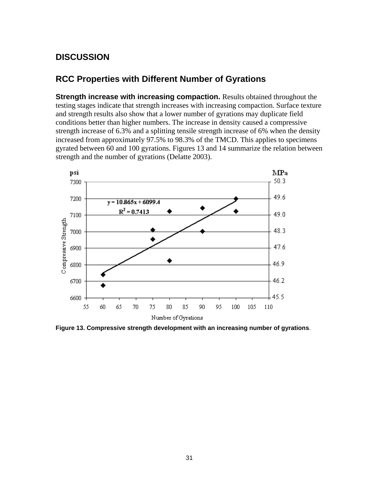## **DISCUSSION**

### **RCC Properties with Different Number of Gyrations**

**Strength increase with increasing compaction.** Results obtained throughout the testing stages indicate that strength increases with increasing compaction. Surface texture and strength results also show that a lower number of gyrations may duplicate field conditions better than higher numbers. The increase in density caused a compressive strength increase of 6.3% and a splitting tensile strength increase of 6% when the density increased from approximately 97.5% to 98.3% of the TMCD. This applies to specimens gyrated between 60 and 100 gyrations. Figures 13 and 14 summarize the relation between strength and the number of gyrations (Delatte 2003).



**Figure 13. Compressive strength development with an increasing number of gyrations**.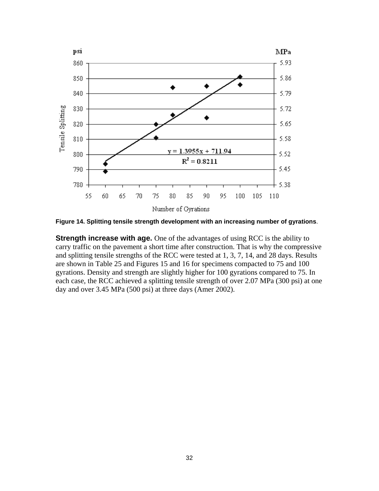

**Figure 14. Splitting tensile strength development with an increasing number of gyrations**.

**Strength increase with age.** One of the advantages of using RCC is the ability to carry traffic on the pavement a short time after construction. That is why the compressive and splitting tensile strengths of the RCC were tested at 1, 3, 7, 14, and 28 days. Results are shown in Table 25 and Figures 15 and 16 for specimens compacted to 75 and 100 gyrations. Density and strength are slightly higher for 100 gyrations compared to 75. In each case, the RCC achieved a splitting tensile strength of over 2.07 MPa (300 psi) at one day and over 3.45 MPa (500 psi) at three days (Amer 2002).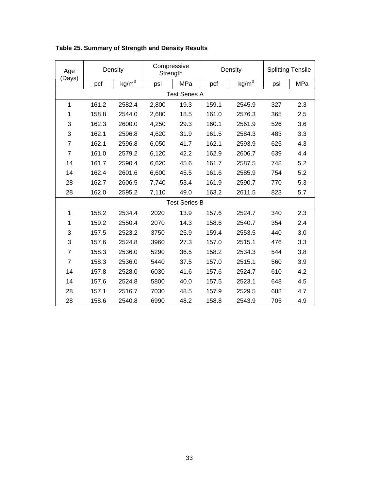| Age<br>(Days)        | Density              |                   | Compressive<br>Strength |      | Density |                   | <b>Splitting Tensile</b> |     |
|----------------------|----------------------|-------------------|-------------------------|------|---------|-------------------|--------------------------|-----|
|                      | pcf                  | kg/m <sup>3</sup> | psi                     | MPa  | pcf     | kg/m <sup>3</sup> | psi                      | MPa |
|                      | <b>Test Series A</b> |                   |                         |      |         |                   |                          |     |
| 1                    | 161.2                | 2582.4            | 2,800                   | 19.3 | 159.1   | 2545.9            | 327                      | 2.3 |
| 1                    | 158.8                | 2544.0            | 2,680                   | 18.5 | 161.0   | 2576.3            | 365                      | 2.5 |
| 3                    | 162.3                | 2600.0            | 4,250                   | 29.3 | 160.1   | 2561.9            | 526                      | 3.6 |
| 3                    | 162.1                | 2596.8            | 4,620                   | 31.9 | 161.5   | 2584.3            | 483                      | 3.3 |
| $\overline{7}$       | 162.1                | 2596.8            | 6,050                   | 41.7 | 162.1   | 2593.9            | 625                      | 4.3 |
| $\overline{7}$       | 161.0                | 2579.2            | 6,120                   | 42.2 | 162.9   | 2606.7            | 639                      | 4.4 |
| 14                   | 161.7                | 2590.4            | 6,620                   | 45.6 | 161.7   | 2587.5            | 748                      | 5.2 |
| 14                   | 162.4                | 2601.6            | 6,600                   | 45.5 | 161.6   | 2585.9            | 754                      | 5.2 |
| 28                   | 162.7                | 2606.5            | 7,740                   | 53.4 | 161.9   | 2590.7            | 770                      | 5.3 |
| 28                   | 162.0                | 2595.2            | 7,110                   | 49.0 | 163.2   | 2611.5            | 823                      | 5.7 |
| <b>Test Series B</b> |                      |                   |                         |      |         |                   |                          |     |
| 1                    | 158.2                | 2534.4            | 2020                    | 13.9 | 157.6   | 2524.7            | 340                      | 2.3 |
| 1                    | 159.2                | 2550.4            | 2070                    | 14.3 | 158.6   | 2540.7            | 354                      | 2.4 |
| 3                    | 157.5                | 2523.2            | 3750                    | 25.9 | 159.4   | 2553.5            | 440                      | 3.0 |
| 3                    | 157.6                | 2524.8            | 3960                    | 27.3 | 157.0   | 2515.1            | 476                      | 3.3 |
| $\overline{7}$       | 158.3                | 2536.0            | 5290                    | 36.5 | 158.2   | 2534.3            | 544                      | 3.8 |
| $\overline{7}$       | 158.3                | 2536.0            | 5440                    | 37.5 | 157.0   | 2515.1            | 560                      | 3.9 |
| 14                   | 157.8                | 2528.0            | 6030                    | 41.6 | 157.6   | 2524.7            | 610                      | 4.2 |
| 14                   | 157.6                | 2524.8            | 5800                    | 40.0 | 157.5   | 2523.1            | 648                      | 4.5 |
| 28                   | 157.1                | 2516.7            | 7030                    | 48.5 | 157.9   | 2529.5            | 688                      | 4.7 |
| 28                   | 158.6                | 2540.8            | 6990                    | 48.2 | 158.8   | 2543.9            | 705                      | 4.9 |

**Table 25. Summary of Strength and Density Results**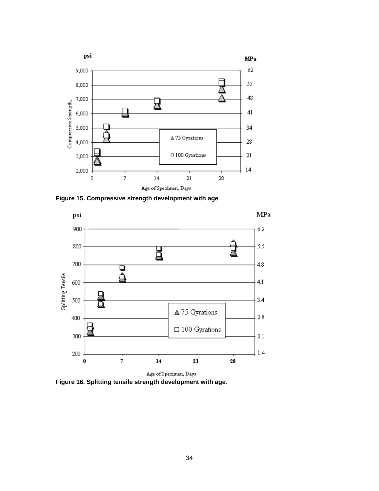

**Figure 15. Compressive strength development with age**.



Age of Specimen, Days **Figure 16. Splitting tensile strength development with age**.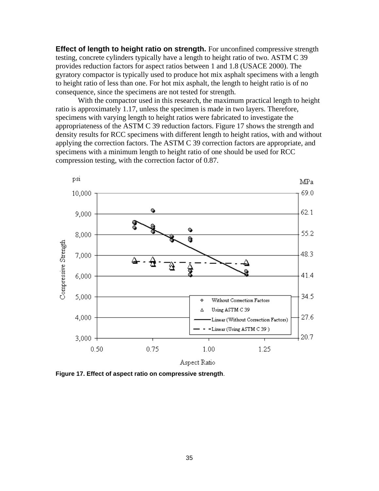**Effect of length to height ratio on strength.** For unconfined compressive strength testing, concrete cylinders typically have a length to height ratio of two. ASTM C 39 provides reduction factors for aspect ratios between 1 and 1.8 (USACE 2000). The gyratory compactor is typically used to produce hot mix asphalt specimens with a length to height ratio of less than one. For hot mix asphalt, the length to height ratio is of no consequence, since the specimens are not tested for strength.

With the compactor used in this research, the maximum practical length to height ratio is approximately 1.17, unless the specimen is made in two layers. Therefore, specimens with varying length to height ratios were fabricated to investigate the appropriateness of the ASTM C 39 reduction factors. Figure 17 shows the strength and density results for RCC specimens with different length to height ratios, with and without applying the correction factors. The ASTM C 39 correction factors are appropriate, and specimens with a minimum length to height ratio of one should be used for RCC compression testing, with the correction factor of 0.87.



**Figure 17. Effect of aspect ratio on compressive strength**.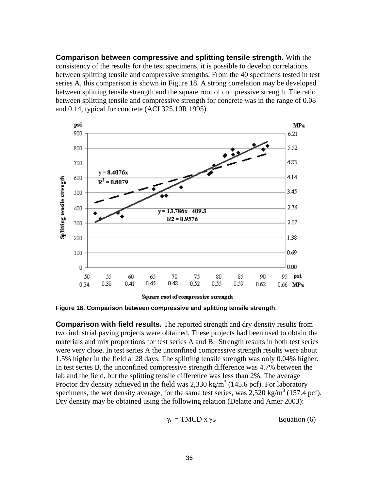**Comparison between compressive and splitting tensile strength.** With the consistency of the results for the test specimens, it is possible to develop correlations between splitting tensile and compressive strengths. From the 40 specimens tested in test series A, this comparison is shown in Figure 18. A strong correlation may be developed between splitting tensile strength and the square root of compressive strength. The ratio between splitting tensile and compressive strength for concrete was in the range of 0.08 and 0.14, typical for concrete (ACI 325.10R 1995).



Square root of compressive strength

**Figure 18. Comparison between compressive and splitting tensile strength**.

**Comparison with field results.** The reported strength and dry density results from two industrial paving projects were obtained. These projects had been used to obtain the materials and mix proportions for test series A and B. Strength results in both test series were very close. In test series A the unconfined compressive strength results were about 1.5% higher in the field at 28 days. The splitting tensile strength was only 0.04% higher. In test series B, the unconfined compressive strength difference was 4.7% between the lab and the field, but the splitting tensile difference was less than 2%. The average Proctor dry density achieved in the field was 2,330 kg/m<sup>3</sup> (145.6 pcf). For laboratory specimens, the wet density average, for the same test series, was  $2{,}520$  kg/m<sup>3</sup> (157.4 pcf). Dry density may be obtained using the following relation (Delatte and Amer 2003):

$$
\gamma_{d} = \text{TMCD} \times \gamma_{w} \qquad \qquad \text{Equation (6)}
$$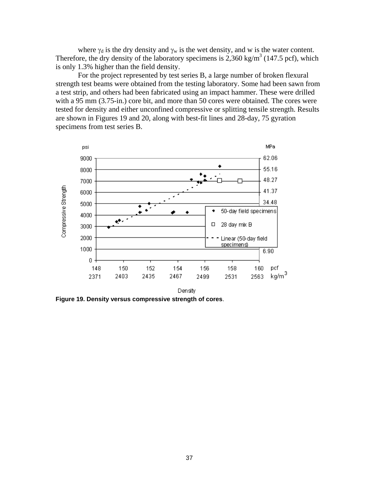where  $\gamma_d$  is the dry density and  $\gamma_w$  is the wet density, and w is the water content. Therefore, the dry density of the laboratory specimens is  $2,360 \text{ kg/m}^3$  (147.5 pcf), which is only 1.3% higher than the field density.

For the project represented by test series B, a large number of broken flexural strength test beams were obtained from the testing laboratory. Some had been sawn from a test strip, and others had been fabricated using an impact hammer. These were drilled with a 95 mm (3.75-in.) core bit, and more than 50 cores were obtained. The cores were tested for density and either unconfined compressive or splitting tensile strength. Results are shown in Figures 19 and 20, along with best-fit lines and 28-day, 75 gyration specimens from test series B.



**Figure 19. Density versus compressive strength of cores**.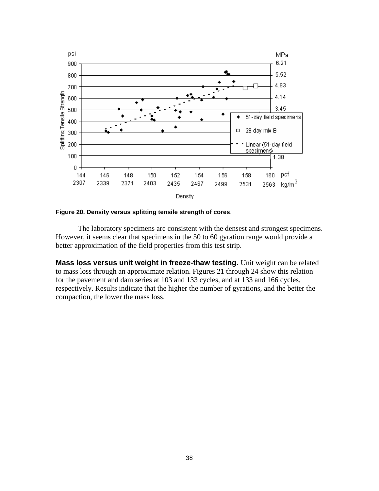

**Figure 20. Density versus splitting tensile strength of cores**.

The laboratory specimens are consistent with the densest and strongest specimens. However, it seems clear that specimens in the 50 to 60 gyration range would provide a better approximation of the field properties from this test strip.

**Mass loss versus unit weight in freeze-thaw testing.** Unit weight can be related to mass loss through an approximate relation. Figures 21 through 24 show this relation for the pavement and dam series at 103 and 133 cycles, and at 133 and 166 cycles, respectively. Results indicate that the higher the number of gyrations, and the better the compaction, the lower the mass loss.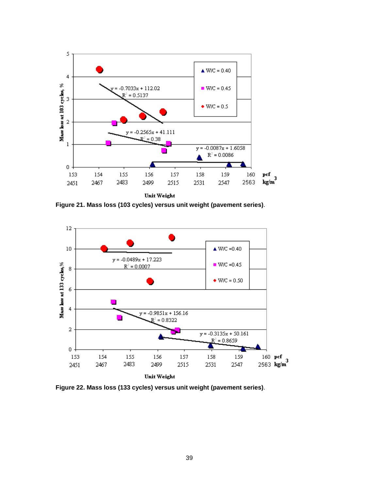![](_page_43_Figure_0.jpeg)

**Figure 21. Mass loss (103 cycles) versus unit weight (pavement series)**.

![](_page_43_Figure_2.jpeg)

**Figure 22. Mass loss (133 cycles) versus unit weight (pavement series)**.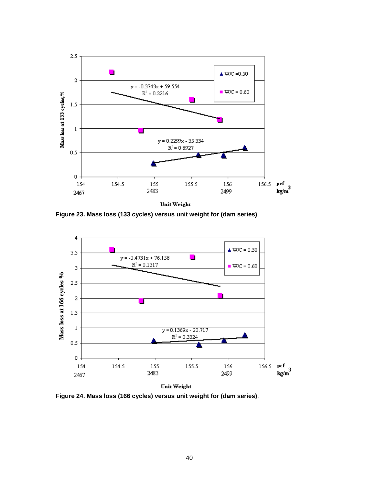![](_page_44_Figure_0.jpeg)

**Figure 23. Mass loss (133 cycles) versus unit weight for (dam series)**.

![](_page_44_Figure_2.jpeg)

**Figure 24. Mass loss (166 cycles) versus unit weight for (dam series)**.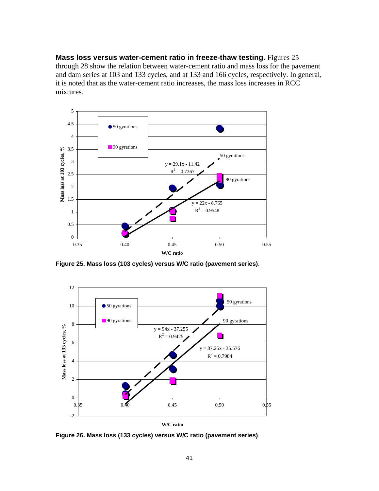**Mass loss versus water-cement ratio in freeze-thaw testing.** Figures 25 through 28 show the relation between water-cement ratio and mass loss for the pavement and dam series at 103 and 133 cycles, and at 133 and 166 cycles, respectively. In general, it is noted that as the water-cement ratio increases, the mass loss increases in RCC mixtures.

![](_page_45_Figure_1.jpeg)

**Figure 25. Mass loss (103 cycles) versus W/C ratio (pavement series)**.

![](_page_45_Figure_3.jpeg)

**Figure 26. Mass loss (133 cycles) versus W/C ratio (pavement series)**.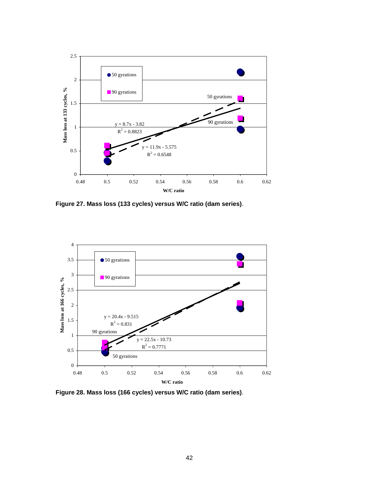![](_page_46_Figure_0.jpeg)

**Figure 27. Mass loss (133 cycles) versus W/C ratio (dam series)**.

![](_page_46_Figure_2.jpeg)

**Figure 28. Mass loss (166 cycles) versus W/C ratio (dam series)**.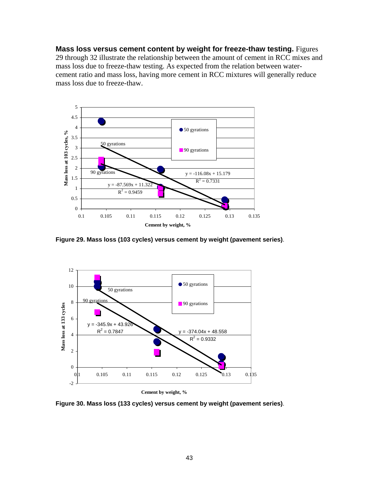**Mass loss versus cement content by weight for freeze-thaw testing.** Figures 29 through 32 illustrate the relationship between the amount of cement in RCC mixes and mass loss due to freeze-thaw testing. As expected from the relation between watercement ratio and mass loss, having more cement in RCC mixtures will generally reduce mass loss due to freeze-thaw.

![](_page_47_Figure_1.jpeg)

**Figure 29. Mass loss (103 cycles) versus cement by weight (pavement series)**.

![](_page_47_Figure_3.jpeg)

**Cement by weight, %**

**Figure 30. Mass loss (133 cycles) versus cement by weight (pavement series)**.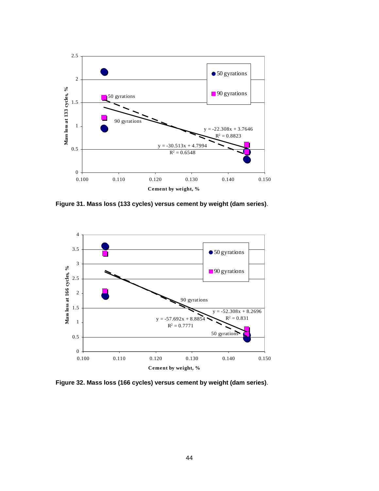![](_page_48_Figure_0.jpeg)

**Figure 31. Mass loss (133 cycles) versus cement by weight (dam series)**.

![](_page_48_Figure_2.jpeg)

**Figure 32. Mass loss (166 cycles) versus cement by weight (dam series)**.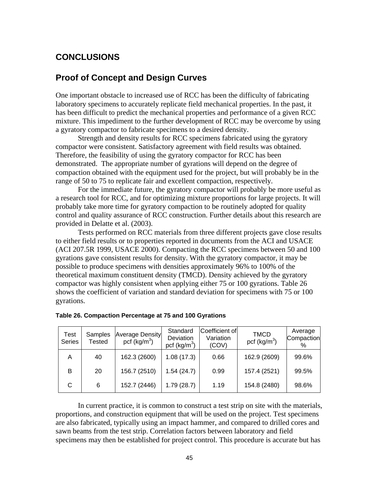### **CONCLUSIONS**

### **Proof of Concept and Design Curves**

One important obstacle to increased use of RCC has been the difficulty of fabricating laboratory specimens to accurately replicate field mechanical properties. In the past, it has been difficult to predict the mechanical properties and performance of a given RCC mixture. This impediment to the further development of RCC may be overcome by using a gyratory compactor to fabricate specimens to a desired density.

Strength and density results for RCC specimens fabricated using the gyratory compactor were consistent. Satisfactory agreement with field results was obtained. Therefore, the feasibility of using the gyratory compactor for RCC has been demonstrated. The appropriate number of gyrations will depend on the degree of compaction obtained with the equipment used for the project, but will probably be in the range of 50 to 75 to replicate fair and excellent compaction, respectively.

For the immediate future, the gyratory compactor will probably be more useful as a research tool for RCC, and for optimizing mixture proportions for large projects. It will probably take more time for gyratory compaction to be routinely adopted for quality control and quality assurance of RCC construction. Further details about this research are provided in Delatte et al. (2003).

Tests performed on RCC materials from three different projects gave close results to either field results or to properties reported in documents from the ACI and USACE (ACI 207.5R 1999, USACE 2000). Compacting the RCC specimens between 50 and 100 gyrations gave consistent results for density. With the gyratory compactor, it may be possible to produce specimens with densities approximately 96% to 100% of the theoretical maximum constituent density (TMCD). Density achieved by the gyratory compactor was highly consistent when applying either 75 or 100 gyrations. Table 26 shows the coefficient of variation and standard deviation for specimens with 75 or 100 gyrations.

| Test<br><b>Series</b> | Samples<br>Tested | <b>Average Density</b><br>pcf $(kg/m3)$ | Standard<br>Deviation<br>pcf $(kg/m3)$ | Coefficient of<br>Variation<br>(COV) | <b>TMCD</b><br>pcf $(kg/m^3)$ | Average<br><b>Compaction</b><br>$\%$ |
|-----------------------|-------------------|-----------------------------------------|----------------------------------------|--------------------------------------|-------------------------------|--------------------------------------|
| Α                     | 40                | 162.3 (2600)                            | 1.08(17.3)                             | 0.66                                 | 162.9 (2609)                  | 99.6%                                |
| B                     | 20                | 156.7 (2510)                            | 1.54(24.7)                             | 0.99                                 | 157.4 (2521)                  | 99.5%                                |
| С                     | 6                 | 152.7 (2446)                            | 1.79(28.7)                             | 1.19                                 | 154.8 (2480)                  | 98.6%                                |

| Table 26. Compaction Percentage at 75 and 100 Gyrations |  |  |
|---------------------------------------------------------|--|--|
|---------------------------------------------------------|--|--|

In current practice, it is common to construct a test strip on site with the materials, proportions, and construction equipment that will be used on the project. Test specimens are also fabricated, typically using an impact hammer, and compared to drilled cores and sawn beams from the test strip. Correlation factors between laboratory and field specimens may then be established for project control. This procedure is accurate but has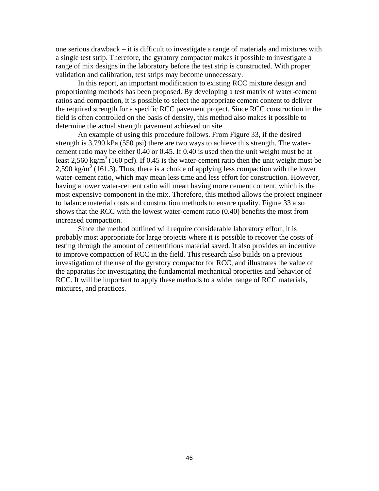one serious drawback – it is difficult to investigate a range of materials and mixtures with a single test strip. Therefore, the gyratory compactor makes it possible to investigate a range of mix designs in the laboratory before the test strip is constructed. With proper validation and calibration, test strips may become unnecessary.

In this report, an important modification to existing RCC mixture design and proportioning methods has been proposed. By developing a test matrix of water-cement ratios and compaction, it is possible to select the appropriate cement content to deliver the required strength for a specific RCC pavement project. Since RCC construction in the field is often controlled on the basis of density, this method also makes it possible to determine the actual strength pavement achieved on site.

An example of using this procedure follows. From Figure 33, if the desired strength is 3,790 kPa (550 psi) there are two ways to achieve this strength. The watercement ratio may be either 0.40 or 0.45. If 0.40 is used then the unit weight must be at least 2,560 kg/m<sup>3</sup> (160 pcf). If 0.45 is the water-cement ratio then the unit weight must be 2,590 kg/m<sup>3</sup> (161.3). Thus, there is a choice of applying less compaction with the lower water-cement ratio, which may mean less time and less effort for construction. However, having a lower water-cement ratio will mean having more cement content, which is the most expensive component in the mix. Therefore, this method allows the project engineer to balance material costs and construction methods to ensure quality. Figure 33 also shows that the RCC with the lowest water-cement ratio (0.40) benefits the most from increased compaction.

Since the method outlined will require considerable laboratory effort, it is probably most appropriate for large projects where it is possible to recover the costs of testing through the amount of cementitious material saved. It also provides an incentive to improve compaction of RCC in the field. This research also builds on a previous investigation of the use of the gyratory compactor for RCC, and illustrates the value of the apparatus for investigating the fundamental mechanical properties and behavior of RCC. It will be important to apply these methods to a wider range of RCC materials, mixtures, and practices.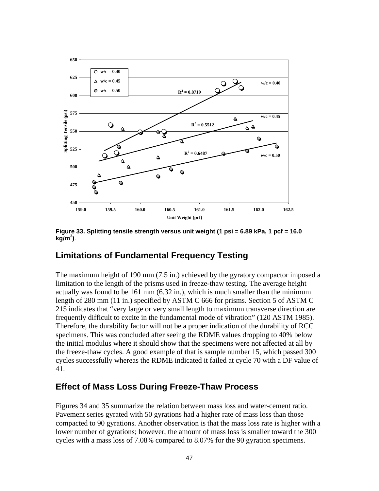![](_page_51_Figure_0.jpeg)

**Figure 33. Splitting tensile strength versus unit weight (1 psi = 6.89 kPa, 1 pcf = 16.0 kg/m3 )**.

### **Limitations of Fundamental Frequency Testing**

The maximum height of 190 mm (7.5 in.) achieved by the gyratory compactor imposed a limitation to the length of the prisms used in freeze-thaw testing. The average height actually was found to be 161 mm (6.32 in.), which is much smaller than the minimum length of 280 mm (11 in.) specified by ASTM C 666 for prisms. Section 5 of ASTM C 215 indicates that "very large or very small length to maximum transverse direction are frequently difficult to excite in the fundamental mode of vibration" (120 ASTM 1985). Therefore, the durability factor will not be a proper indication of the durability of RCC specimens. This was concluded after seeing the RDME values dropping to 40% below the initial modulus where it should show that the specimens were not affected at all by the freeze-thaw cycles. A good example of that is sample number 15, which passed 300 cycles successfully whereas the RDME indicated it failed at cycle 70 with a DF value of 41.

# **Effect of Mass Loss During Freeze-Thaw Process**

Figures 34 and 35 summarize the relation between mass loss and water-cement ratio. Pavement series gyrated with 50 gyrations had a higher rate of mass loss than those compacted to 90 gyrations. Another observation is that the mass loss rate is higher with a lower number of gyrations; however, the amount of mass loss is smaller toward the 300 cycles with a mass loss of 7.08% compared to 8.07% for the 90 gyration specimens.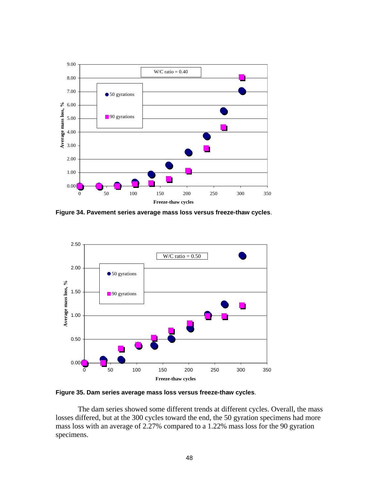![](_page_52_Figure_0.jpeg)

**Figure 34. Pavement series average mass loss versus freeze-thaw cycles**.

![](_page_52_Figure_2.jpeg)

**Figure 35. Dam series average mass loss versus freeze-thaw cycles**.

The dam series showed some different trends at different cycles. Overall, the mass losses differed, but at the 300 cycles toward the end, the 50 gyration specimens had more mass loss with an average of 2.27% compared to a 1.22% mass loss for the 90 gyration specimens.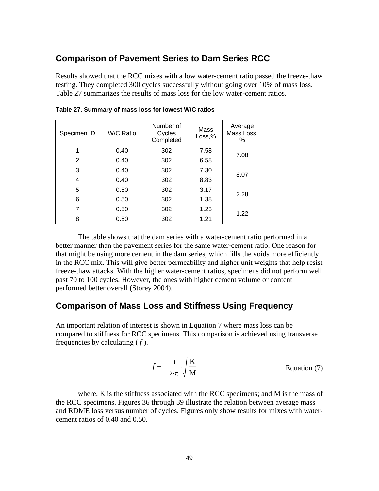### **Comparison of Pavement Series to Dam Series RCC**

Results showed that the RCC mixes with a low water-cement ratio passed the freeze-thaw testing. They completed 300 cycles successfully without going over 10% of mass loss. Table 27 summarizes the results of mass loss for the low water-cement ratios.

| Specimen ID    | W/C Ratio | Number of<br>Cycles<br>Completed | Mass<br>Loss,% | Average<br>Mass Loss,<br>℅ |  |
|----------------|-----------|----------------------------------|----------------|----------------------------|--|
| 1              | 0.40      | 302                              | 7.58           | 7.08                       |  |
| $\overline{2}$ | 0.40      | 302                              | 6.58           |                            |  |
| 3              | 0.40      | 302                              | 7.30           | 8.07                       |  |
| 4              | 0.40      | 302                              | 8.83           |                            |  |
| 5              | 0.50      | 302                              | 3.17           | 2.28                       |  |
| 6              | 0.50      | 302                              | 1.38           |                            |  |
| 7              | 0.50      | 302                              | 1.23           | 1.22                       |  |
| 8              | 0.50      | 302                              | 1.21           |                            |  |

| Table 27. Summary of mass loss for lowest W/C ratios |  |  |  |
|------------------------------------------------------|--|--|--|
|------------------------------------------------------|--|--|--|

The table shows that the dam series with a water-cement ratio performed in a better manner than the pavement series for the same water-cement ratio. One reason for that might be using more cement in the dam series, which fills the voids more efficiently in the RCC mix. This will give better permeability and higher unit weights that help resist freeze-thaw attacks. With the higher water-cement ratios, specimens did not perform well past 70 to 100 cycles. However, the ones with higher cement volume or content performed better overall (Storey 2004).

### **Comparison of Mass Loss and Stiffness Using Frequency**

An important relation of interest is shown in Equation 7 where mass loss can be compared to stiffness for RCC specimens. This comparison is achieved using transverse frequencies by calculating ( *f* ).

$$
f = \frac{1}{2 \cdot \pi} \cdot \sqrt{\frac{K}{M}}
$$
 Equation (7)

where, K is the stiffness associated with the RCC specimens; and M is the mass of the RCC specimens. Figures 36 through 39 illustrate the relation between average mass and RDME loss versus number of cycles. Figures only show results for mixes with watercement ratios of 0.40 and 0.50.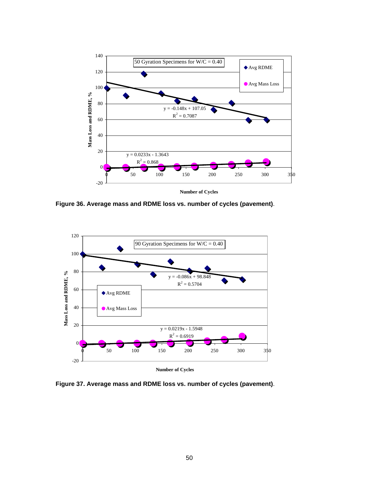![](_page_54_Figure_0.jpeg)

**Number of Cycles**

 $\overline{a}$ **Figure 36. Average mass and RDME loss vs. number of cycles (pavement)**.

![](_page_54_Figure_3.jpeg)

**Figure 37. Average mass and RDME loss vs. number of cycles (pavement)**.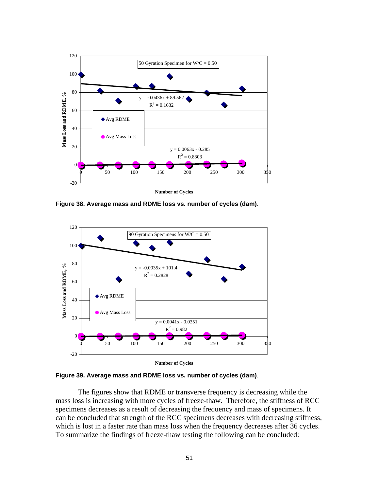![](_page_55_Figure_0.jpeg)

**Figure 38. Average mass and RDME loss vs. number of cycles (dam)**.

![](_page_55_Figure_2.jpeg)

**Figure 39. Average mass and RDME loss vs. number of cycles (dam)**.

The figures show that RDME or transverse frequency is decreasing while the mass loss is increasing with more cycles of freeze-thaw. Therefore, the stiffness of RCC specimens decreases as a result of decreasing the frequency and mass of specimens. It can be concluded that strength of the RCC specimens decreases with decreasing stiffness, which is lost in a faster rate than mass loss when the frequency decreases after 36 cycles. To summarize the findings of freeze-thaw testing the following can be concluded: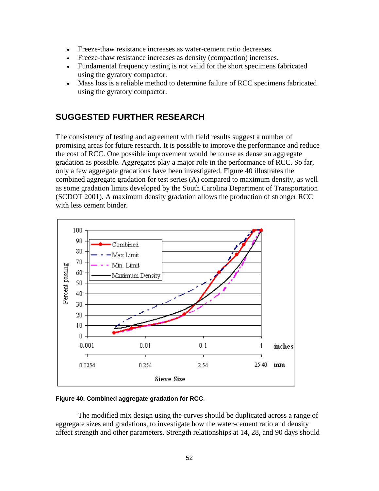- Freeze-thaw resistance increases as water-cement ratio decreases.
- Freeze-thaw resistance increases as density (compaction) increases.
- Fundamental frequency testing is not valid for the short specimens fabricated using the gyratory compactor.
- Mass loss is a reliable method to determine failure of RCC specimens fabricated using the gyratory compactor.

# **SUGGESTED FURTHER RESEARCH**

The consistency of testing and agreement with field results suggest a number of promising areas for future research. It is possible to improve the performance and reduce the cost of RCC. One possible improvement would be to use as dense an aggregate gradation as possible. Aggregates play a major role in the performance of RCC. So far, only a few aggregate gradations have been investigated. Figure 40 illustrates the combined aggregate gradation for test series (A) compared to maximum density, as well as some gradation limits developed by the South Carolina Department of Transportation (SCDOT 2001). A maximum density gradation allows the production of stronger RCC with less cement binder.

![](_page_56_Figure_6.jpeg)

#### **Figure 40. Combined aggregate gradation for RCC**.

The modified mix design using the curves should be duplicated across a range of aggregate sizes and gradations, to investigate how the water-cement ratio and density affect strength and other parameters. Strength relationships at 14, 28, and 90 days should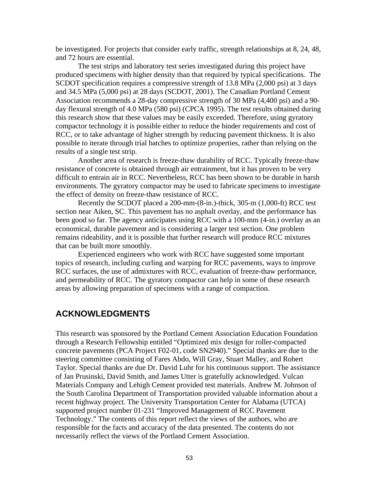be investigated. For projects that consider early traffic, strength relationships at 8, 24, 48, and 72 hours are essential.

The test strips and laboratory test series investigated during this project have produced specimens with higher density than that required by typical specifications. The SCDOT specification requires a compressive strength of 13.8 MPa (2,000 psi) at 3 days and 34.5 MPa (5,000 psi) at 28 days (SCDOT, 2001). The Canadian Portland Cement Association recommends a 28-day compressive strength of 30 MPa (4,400 psi) and a 90 day flexural strength of 4.0 MPa (580 psi) (CPCA 1995). The test results obtained during this research show that these values may be easily exceeded. Therefore, using gyratory compactor technology it is possible either to reduce the binder requirements and cost of RCC, or to take advantage of higher strength by reducing pavement thickness. It is also possible to iterate through trial batches to optimize properties, rather than relying on the results of a single test strip.

Another area of research is freeze-thaw durability of RCC. Typically freeze-thaw resistance of concrete is obtained through air entrainment, but it has proven to be very difficult to entrain air in RCC. Nevertheless, RCC has been shown to be durable in harsh environments. The gyratory compactor may be used to fabricate specimens to investigate the effect of density on freeze-thaw resistance of RCC.

Recently the SCDOT placed a 200-mm-(8-in.)-thick, 305-m (1,000-ft) RCC test section near Aiken, SC. This pavement has no asphalt overlay, and the performance has been good so far. The agency anticipates using RCC with a 100-mm (4-in.) overlay as an economical, durable pavement and is considering a larger test section. One problem remains rideability, and it is possible that further research will produce RCC mixtures that can be built more smoothly.

Experienced engineers who work with RCC have suggested some important topics of research, including curling and warping for RCC pavements, ways to improve RCC surfaces, the use of admixtures with RCC, evaluation of freeze-thaw performance, and permeability of RCC. The gyratory compactor can help in some of these research areas by allowing preparation of specimens with a range of compaction.

### **ACKNOWLEDGMENTS**

This research was sponsored by the Portland Cement Association Education Foundation through a Research Fellowship entitled "Optimized mix design for roller-compacted concrete pavements (PCA Project F02-01, code SN2940)." Special thanks are due to the steering committee consisting of Fares Abdo, Will Gray, Stuart Malley, and Robert Taylor. Special thanks are due Dr. David Luhr for his continuous support. The assistance of Jan Prusinski, David Smith, and James Utter is gratefully acknowledged. Vulcan Materials Company and Lehigh Cement provided test materials. Andrew M. Johnson of the South Carolina Department of Transportation provided valuable information about a recent highway project. The University Transportation Center for Alabama (UTCA) supported project number 01-231 "Improved Management of RCC Pavement Technology." The contents of this report reflect the views of the authors, who are responsible for the facts and accuracy of the data presented. The contents do not necessarily reflect the views of the Portland Cement Association.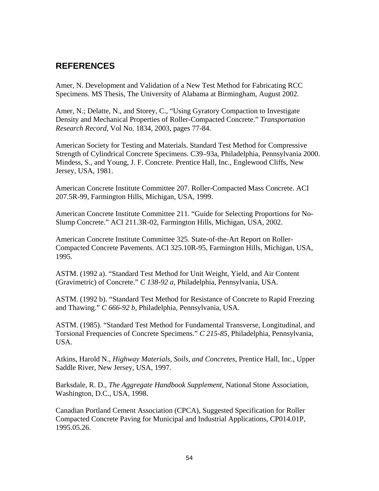# **REFERENCES**

Amer, N. Development and Validation of a New Test Method for Fabricating RCC Specimens. MS Thesis, The University of Alabama at Birmingham, August 2002.

Amer, N.; Delatte, N., and Storey, C., "Using Gyratory Compaction to Investigate Density and Mechanical Properties of Roller-Compacted Concrete." *Transportation Research Record*, Vol No. 1834, 2003, pages 77-84.

American Society for Testing and Materials. Standard Test Method for Compressive Strength of Cylindrical Concrete Specimens. C39–93a, Philadelphia, Pennsylvania 2000. Mindess, S., and Young, J. F. Concrete. Prentice Hall, Inc., Englewood Cliffs, New Jersey, USA, 1981.

American Concrete Institute Committee 207. Roller-Compacted Mass Concrete. ACI 207.5R-99, Farmington Hills, Michigan, USA, 1999.

American Concrete Institute Committee 211. "Guide for Selecting Proportions for No-Slump Concrete." ACI 211.3R-02, Farmington Hills, Michigan, USA, 2002.

American Concrete Institute Committee 325. State-of-the-Art Report on Roller-Compacted Concrete Pavements. ACI 325.10R-95, Farmington Hills, Michigan, USA, 1995.

ASTM. (1992 a). "Standard Test Method for Unit Weight, Yield, and Air Content (Gravimetric) of Concrete." *C 138-92 a*, Philadelphia, Pennsylvania, USA.

ASTM. (1992 b). "Standard Test Method for Resistance of Concrete to Rapid Freezing and Thawing." *C 666-92 b*, Philadelphia, Pennsylvania, USA.

ASTM. (1985). "Standard Test Method for Fundamental Transverse, Longitudinal, and Torsional Frequencies of Concrete Specimens." *C 215-85*, Philadelphia, Pennsylvania, USA.

Atkins, Harold N., *Highway Materials, Soils, and Concretes*, Prentice Hall, Inc., Upper Saddle River, New Jersey, USA, 1997.

Barksdale, R. D., *The Aggregate Handbook Supplement*, National Stone Association, Washington, D.C., USA, 1998.

Canadian Portland Cement Association (CPCA), Suggested Specification for Roller Compacted Concrete Paving for Municipal and Industrial Applications, CP014.01P, 1995.05.26.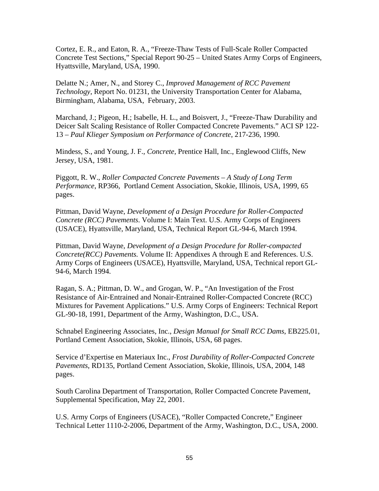Cortez, E. R., and Eaton, R. A., "Freeze-Thaw Tests of Full-Scale Roller Compacted Concrete Test Sections," Special Report 90-25 – United States Army Corps of Engineers, Hyattsville, Maryland, USA, 1990.

Delatte N.; Amer, N., and Storey C., *Improved Management of RCC Pavement Technology*, Report No. 01231, the University Transportation Center for Alabama, Birmingham, Alabama, USA, February, 2003.

Marchand, J.; Pigeon, H.; Isabelle, H. L., and Boisvert, J., "Freeze-Thaw Durability and Deicer Salt Scaling Resistance of Roller Compacted Concrete Pavements." ACI SP 122- 13 *– Paul Klieger Symposium on Performance of Concrete*, 217-236, 1990.

Mindess, S., and Young, J. F., *Concrete*, Prentice Hall, Inc., Englewood Cliffs, New Jersey, USA, 1981.

Piggott, R. W., *Roller Compacted Concrete Pavements – A Study of Long Term Performance*, RP366, Portland Cement Association, Skokie, Illinois, USA, 1999, 65 pages.

Pittman, David Wayne, *Development of a Design Procedure for Roller-Compacted Concrete (RCC) Pavements*. Volume I: Main Text. U.S. Army Corps of Engineers (USACE), Hyattsville, Maryland, USA, Technical Report GL-94-6, March 1994.

Pittman, David Wayne, *Development of a Design Procedure for Roller-compacted Concrete(RCC) Pavements.* Volume II: Appendixes A through E and References. U.S. Army Corps of Engineers (USACE), Hyattsville, Maryland, USA, Technical report GL-94-6, March 1994.

Ragan, S. A.; Pittman, D. W., and Grogan, W. P., "An Investigation of the Frost Resistance of Air-Entrained and Nonair-Entrained Roller-Compacted Concrete (RCC) Mixtures for Pavement Applications." U.S. Army Corps of Engineers: Technical Report GL-90-18, 1991, Department of the Army, Washington, D.C., USA.

Schnabel Engineering Associates, Inc., *Design Manual for Small RCC Dams*, EB225.01, Portland Cement Association, Skokie, Illinois, USA, 68 pages.

Service d'Expertise en Materiaux Inc., *Frost Durability of Roller-Compacted Concrete Pavements*, RD135, Portland Cement Association, Skokie, Illinois, USA, 2004, 148 pages.

South Carolina Department of Transportation, Roller Compacted Concrete Pavement, Supplemental Specification, May 22, 2001.

U.S. Army Corps of Engineers (USACE), "Roller Compacted Concrete," Engineer Technical Letter 1110-2-2006, Department of the Army, Washington, D.C., USA, 2000.